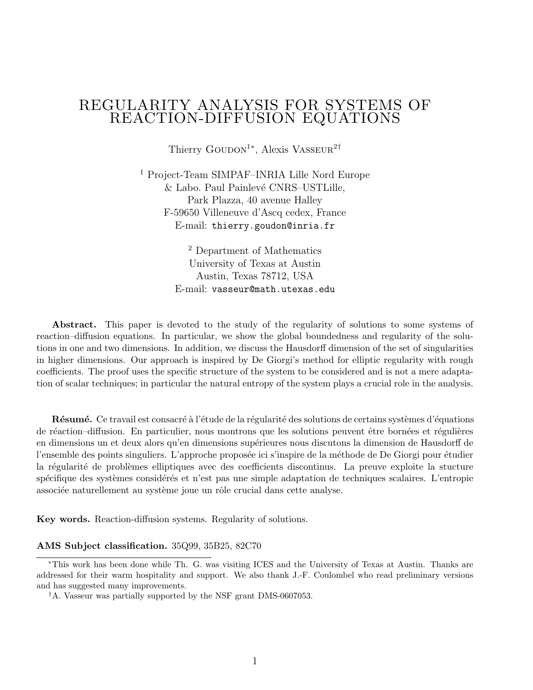## REGULARITY ANALYSIS FOR SYSTEMS OF REACTION-DIFFUSION EQUATIONS

Thierry GOUDON<sup>1</sup><sup>\*</sup>, Alexis VASSEUR<sup>2†</sup>

<sup>1</sup> Project-Team SIMPAF–INRIA Lille Nord Europe  $&$  Labo. Paul Painlevé CNRS–USTLille, Park Plazza, 40 avenue Halley F-59650 Villeneuve d'Ascq cedex, France E-mail: thierry.goudon@inria.fr

> <sup>2</sup> Department of Mathematics University of Texas at Austin Austin, Texas 78712, USA E-mail: vasseur@math.utexas.edu

Abstract. This paper is devoted to the study of the regularity of solutions to some systems of reaction–diffusion equations. In particular, we show the global boundedness and regularity of the solutions in one and two dimensions. In addition, we discuss the Hausdorff dimension of the set of singularities in higher dimensions. Our approach is inspired by De Giorgi's method for elliptic regularity with rough coefficients. The proof uses the specific structure of the system to be considered and is not a mere adaptation of scalar techniques; in particular the natural entropy of the system plays a crucial role in the analysis.

**R**ésumé. Ce travail est consacré à l'étude de la régularité des solutions de certains systèmes d'équations de réaction–diffusion. En particulier, nous montrons que les solutions peuvent être bornées et régulières en dimensions un et deux alors qu'en dimensions supérieures nous discutons la dimension de Hausdorff de l'ensemble des points singuliers. L'approche proposée ici s'inspire de la méthode de De Giorgi pour étudier la régularité de problèmes elliptiques avec des coefficients discontinus. La preuve exploite la stucture spécifique des systèmes considérés et n'est pas une simple adaptation de techniques scalaires. L'entropie associée naturellement au système joue un rôle crucial dans cette analyse.

Key words. Reaction-diffusion systems. Regularity of solutions.

#### AMS Subject classification. 35Q99, 35B25, 82C70

<sup>∗</sup>This work has been done while Th. G. was visiting ICES and the University of Texas at Austin. Thanks are addressed for their warm hospitality and support. We also thank J.-F. Coulombel who read preliminary versions and has suggested many improvements.

<sup>†</sup>A. Vasseur was partially supported by the NSF grant DMS-0607053.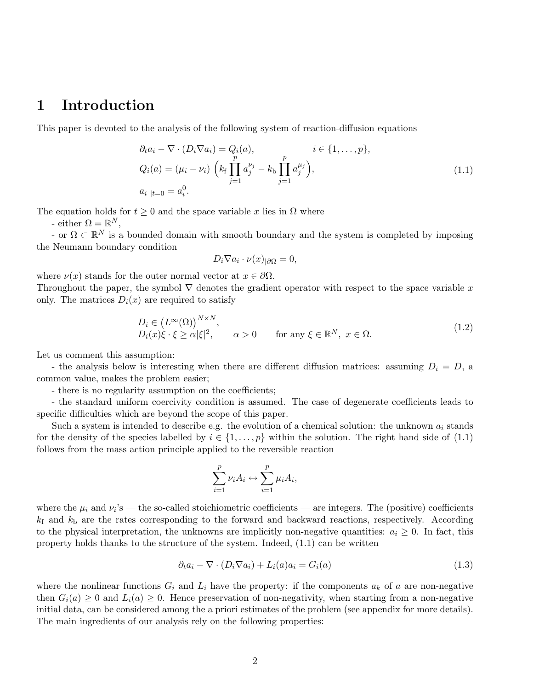### 1 Introduction

This paper is devoted to the analysis of the following system of reaction-diffusion equations

$$
\partial_t a_i - \nabla \cdot (D_i \nabla a_i) = Q_i(a), \qquad i \in \{1, ..., p\},
$$
  
\n
$$
Q_i(a) = (\mu_i - \nu_i) \left( k_f \prod_{j=1}^p a_j^{\nu_j} - k_b \prod_{j=1}^p a_j^{\mu_j} \right),
$$
  
\n
$$
a_{i \mid t=0} = a_i^0.
$$
\n(1.1)

The equation holds for  $t \geq 0$  and the space variable x lies in  $\Omega$  where

- either  $\Omega = \mathbb{R}^N$ ,

- or  $\Omega \subset \mathbb{R}^N$  is a bounded domain with smooth boundary and the system is completed by imposing the Neumann boundary condition

$$
D_i \nabla a_i \cdot \nu(x)_{|\partial\Omega} = 0,
$$

where  $\nu(x)$  stands for the outer normal vector at  $x \in \partial\Omega$ .

Throughout the paper, the symbol  $\nabla$  denotes the gradient operator with respect to the space variable x only. The matrices  $D_i(x)$  are required to satisfy

$$
D_i \in (L^{\infty}(\Omega))^{N \times N},
$$
  
\n
$$
D_i(x)\xi \cdot \xi \ge \alpha |\xi|^2, \qquad \alpha > 0 \qquad \text{for any } \xi \in \mathbb{R}^N, \ x \in \Omega.
$$
 (1.2)

Let us comment this assumption:

- the analysis below is interesting when there are different diffusion matrices: assuming  $D_i = D$ , a common value, makes the problem easier;

- there is no regularity assumption on the coefficients;

- the standard uniform coercivity condition is assumed. The case of degenerate coefficients leads to specific difficulties which are beyond the scope of this paper.

Such a system is intended to describe e.g. the evolution of a chemical solution: the unknown  $a_i$  stands for the density of the species labelled by  $i \in \{1, \ldots, p\}$  within the solution. The right hand side of (1.1) follows from the mass action principle applied to the reversible reaction

$$
\sum_{i=1}^p \nu_i A_i \leftrightarrow \sum_{i=1}^p \mu_i A_i,
$$

where the  $\mu_i$  and  $\nu_i$ 's — the so-called stoichiometric coefficients — are integers. The (positive) coefficients  $k_f$  and  $k_b$  are the rates corresponding to the forward and backward reactions, respectively. According to the physical interpretation, the unknowns are implicitly non-negative quantities:  $a_i \geq 0$ . In fact, this property holds thanks to the structure of the system. Indeed, (1.1) can be written

$$
\partial_t a_i - \nabla \cdot (D_i \nabla a_i) + L_i(a) a_i = G_i(a) \tag{1.3}
$$

where the nonlinear functions  $G_i$  and  $L_i$  have the property: if the components  $a_k$  of a are non-negative then  $G_i(a) \geq 0$  and  $L_i(a) \geq 0$ . Hence preservation of non-negativity, when starting from a non-negative initial data, can be considered among the a priori estimates of the problem (see appendix for more details). The main ingredients of our analysis rely on the following properties: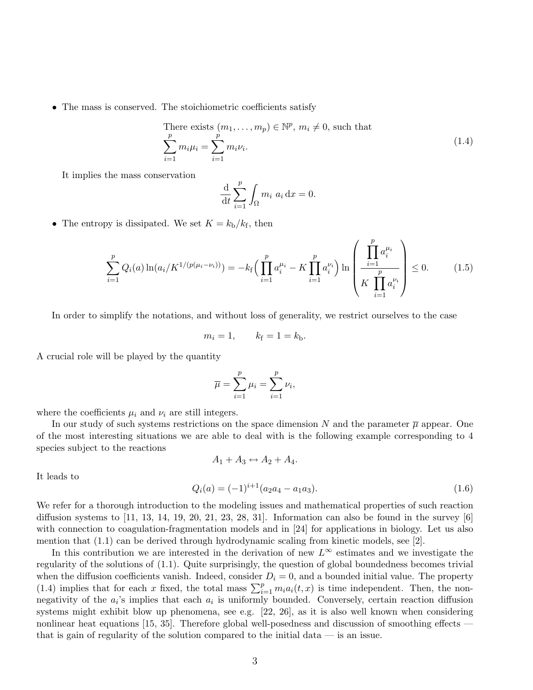• The mass is conserved. The stoichiometric coefficients satisfy

There exists 
$$
(m_1, ..., m_p) \in \mathbb{N}^p
$$
,  $m_i \neq 0$ , such that\n
$$
\sum_{i=1}^p m_i \mu_i = \sum_{i=1}^p m_i \nu_i.
$$
\n(1.4)

It implies the mass conservation

$$
\frac{\mathrm{d}}{\mathrm{d}t} \sum_{i=1}^{p} \int_{\Omega} m_i \ a_i \, \mathrm{d}x = 0.
$$

• The entropy is dissipated. We set  $K = k_{\rm b}/k_{\rm f}$ , then

$$
\sum_{i=1}^{p} Q_i(a) \ln(a_i/K^{1/(p(\mu_i - \nu_i))}) = -k_f \Big( \prod_{i=1}^{p} a_i^{\mu_i} - K \prod_{i=1}^{p} a_i^{\nu_i} \Big) \ln \left( \frac{\prod_{i=1}^{p} a_i^{\mu_i}}{K \prod_{i=1}^{p} a_i^{\nu_i}} \right) \le 0. \tag{1.5}
$$

In order to simplify the notations, and without loss of generality, we restrict ourselves to the case

$$
m_i = 1, \qquad k_f = 1 = k_b.
$$

A crucial role will be played by the quantity

$$
\overline{\mu} = \sum_{i=1}^p \mu_i = \sum_{i=1}^p \nu_i,
$$

where the coefficients  $\mu_i$  and  $\nu_i$  are still integers.

In our study of such systems restrictions on the space dimension N and the parameter  $\bar{\mu}$  appear. One of the most interesting situations we are able to deal with is the following example corresponding to 4 species subject to the reactions  $A_1 + A_3 \leftrightarrow A_2 + A_4.$ 

It leads to

$$
Q_i(a) = (-1)^{i+1} (a_2 a_4 - a_1 a_3).
$$
\n(1.6)

We refer for a thorough introduction to the modeling issues and mathematical properties of such reaction diffusion systems to  $\left[11, 13, 14, 19, 20, 21, 23, 28, 31\right]$ . Information can also be found in the survey  $\left[6\right]$ with connection to coagulation-fragmentation models and in [24] for applications in biology. Let us also mention that (1.1) can be derived through hydrodynamic scaling from kinetic models, see [2].

In this contribution we are interested in the derivation of new  $L^{\infty}$  estimates and we investigate the regularity of the solutions of (1.1). Quite surprisingly, the question of global boundedness becomes trivial when the diffusion coefficients vanish. Indeed, consider  $D_i = 0$ , and a bounded initial value. The property (1.4) implies that for each x fixed, the total mass  $\sum_{i=1}^{p} m_i a_i(t, x)$  is time independent. Then, the nonnegativity of the  $a_i$ 's implies that each  $a_i$  is uniformly bounded. Conversely, certain reaction diffusion systems might exhibit blow up phenomena, see e.g. [22, 26], as it is also well known when considering nonlinear heat equations [15, 35]. Therefore global well-posedness and discussion of smoothing effects that is gain of regularity of the solution compared to the initial data  $-$  is an issue.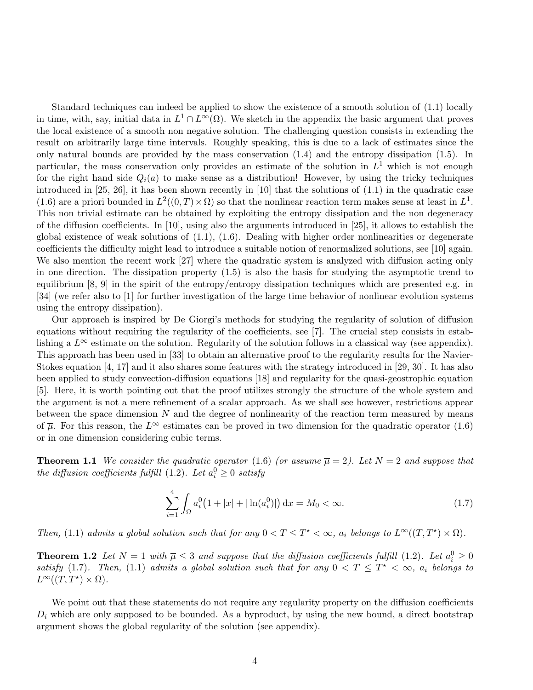Standard techniques can indeed be applied to show the existence of a smooth solution of (1.1) locally in time, with, say, initial data in  $L^1 \cap L^\infty(\Omega)$ . We sketch in the appendix the basic argument that proves the local existence of a smooth non negative solution. The challenging question consists in extending the result on arbitrarily large time intervals. Roughly speaking, this is due to a lack of estimates since the only natural bounds are provided by the mass conservation (1.4) and the entropy dissipation (1.5). In particular, the mass conservation only provides an estimate of the solution in  $L<sup>1</sup>$  which is not enough for the right hand side  $Q_i(a)$  to make sense as a distribution! However, by using the tricky techniques introduced in [25, 26], it has been shown recently in [10] that the solutions of (1.1) in the quadratic case (1.6) are a priori bounded in  $L^2((0,T)\times\Omega)$  so that the nonlinear reaction term makes sense at least in  $L^1$ . This non trivial estimate can be obtained by exploiting the entropy dissipation and the non degeneracy of the diffusion coefficients. In [10], using also the arguments introduced in [25], it allows to establish the global existence of weak solutions of  $(1.1)$ ,  $(1.6)$ . Dealing with higher order nonlinearities or degenerate coefficients the difficulty might lead to introduce a suitable notion of renormalized solutions, see [10] again. We also mention the recent work [27] where the quadratic system is analyzed with diffusion acting only in one direction. The dissipation property (1.5) is also the basis for studying the asymptotic trend to equilibrium [8, 9] in the spirit of the entropy/entropy dissipation techniques which are presented e.g. in [34] (we refer also to [1] for further investigation of the large time behavior of nonlinear evolution systems using the entropy dissipation).

Our approach is inspired by De Giorgi's methods for studying the regularity of solution of diffusion equations without requiring the regularity of the coefficients, see [7]. The crucial step consists in establishing a  $L^{\infty}$  estimate on the solution. Regularity of the solution follows in a classical way (see appendix). This approach has been used in [33] to obtain an alternative proof to the regularity results for the Navier-Stokes equation [4, 17] and it also shares some features with the strategy introduced in [29, 30]. It has also been applied to study convection-diffusion equations [18] and regularity for the quasi-geostrophic equation [5]. Here, it is worth pointing out that the proof utilizes strongly the structure of the whole system and the argument is not a mere refinement of a scalar approach. As we shall see however, restrictions appear between the space dimension  $N$  and the degree of nonlinearity of the reaction term measured by means of  $\overline{\mu}$ . For this reason, the L<sup>∞</sup> estimates can be proved in two dimension for the quadratic operator (1.6) or in one dimension considering cubic terms.

**Theorem 1.1** We consider the quadratic operator (1.6) (or assume  $\overline{\mu} = 2$ ). Let  $N = 2$  and suppose that the diffusion coefficients fulfill (1.2). Let  $a_i^0 \geq 0$  satisfy

$$
\sum_{i=1}^{4} \int_{\Omega} a_i^0 \left( 1 + |x| + |\ln(a_i^0)| \right) dx = M_0 < \infty. \tag{1.7}
$$

Then, (1.1) admits a global solution such that for any  $0 < T \leq T^* < \infty$ ,  $a_i$  belongs to  $L^{\infty}((T, T^*) \times \Omega)$ .

**Theorem 1.2** Let  $N = 1$  with  $\overline{\mu} \leq 3$  and suppose that the diffusion coefficients fulfill (1.2). Let  $a_i^0 \geq 0$ satisfy (1.7). Then, (1.1) admits a global solution such that for any  $0 < T \leq T^* < \infty$ ,  $a_i$  belongs to  $L^{\infty}((T, T^{\star}) \times \Omega).$ 

We point out that these statements do not require any regularity property on the diffusion coefficients  $D_i$  which are only supposed to be bounded. As a byproduct, by using the new bound, a direct bootstrap argument shows the global regularity of the solution (see appendix).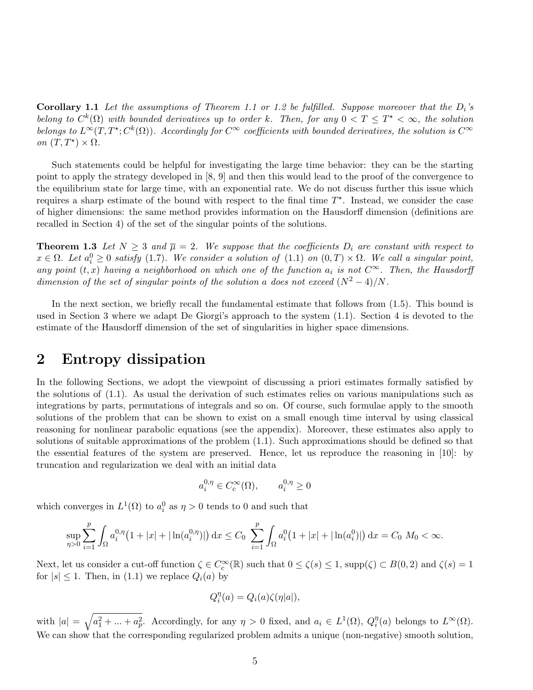**Corollary 1.1** Let the assumptions of Theorem 1.1 or 1.2 be fulfilled. Suppose moreover that the  $D_i$ 's belong to  $C^k(\Omega)$  with bounded derivatives up to order k. Then, for any  $0 < T \leq T^* < \infty$ , the solution belongs to  $L^{\infty}(T, T^*; C^k(\Omega))$ . Accordingly for  $C^{\infty}$  coefficients with bounded derivatives, the solution is  $C^{\infty}$ on  $(T, T^*) \times \Omega$ .

Such statements could be helpful for investigating the large time behavior: they can be the starting point to apply the strategy developed in [8, 9] and then this would lead to the proof of the convergence to the equilibrium state for large time, with an exponential rate. We do not discuss further this issue which requires a sharp estimate of the bound with respect to the final time  $T^*$ . Instead, we consider the case of higher dimensions: the same method provides information on the Hausdorff dimension (definitions are recalled in Section 4) of the set of the singular points of the solutions.

**Theorem 1.3** Let  $N \geq 3$  and  $\overline{\mu} = 2$ . We suppose that the coefficients  $D_i$  are constant with respect to  $x \in \Omega$ . Let  $a_i^0 \geq 0$  satisfy (1.7). We consider a solution of (1.1) on  $(0,T) \times \Omega$ . We call a singular point, any point  $(t, x)$  having a neighborhood on which one of the function  $a_i$  is not  $C^{\infty}$ . Then, the Hausdorff dimension of the set of singular points of the solution a does not exceed  $(N^2-4)/N$ .

In the next section, we briefly recall the fundamental estimate that follows from (1.5). This bound is used in Section 3 where we adapt De Giorgi's approach to the system (1.1). Section 4 is devoted to the estimate of the Hausdorff dimension of the set of singularities in higher space dimensions.

### 2 Entropy dissipation

In the following Sections, we adopt the viewpoint of discussing a priori estimates formally satisfied by the solutions of (1.1). As usual the derivation of such estimates relies on various manipulations such as integrations by parts, permutations of integrals and so on. Of course, such formulae apply to the smooth solutions of the problem that can be shown to exist on a small enough time interval by using classical reasoning for nonlinear parabolic equations (see the appendix). Moreover, these estimates also apply to solutions of suitable approximations of the problem (1.1). Such approximations should be defined so that the essential features of the system are preserved. Hence, let us reproduce the reasoning in [10]: by truncation and regularization we deal with an initial data

$$
a_i^{0,\eta} \in C_c^{\infty}(\Omega), \qquad a_i^{0,\eta} \ge 0
$$

which converges in  $L^1(\Omega)$  to  $a_i^0$  as  $\eta > 0$  tends to 0 and such that

$$
\sup_{\eta>0} \sum_{i=1}^p \int_{\Omega} a_i^{0,\eta} \left(1+|x|+|\ln(a_i^{0,\eta})|\right) \mathrm{d}x \le C_0 \sum_{i=1}^p \int_{\Omega} a_i^0 \left(1+|x|+|\ln(a_i^0)|\right) \mathrm{d}x = C_0 \ M_0 < \infty.
$$

Next, let us consider a cut-off function  $\zeta \in C_c^{\infty}(\mathbb{R})$  such that  $0 \le \zeta(s) \le 1$ , supp $(\zeta) \subset B(0, 2)$  and  $\zeta(s) = 1$ for  $|s| \leq 1$ . Then, in (1.1) we replace  $Q_i(a)$  by

$$
Q_i^{\eta}(a) = Q_i(a)\zeta(\eta|a|),
$$

with  $|a| = \sqrt{a_1^2 + ... + a_p^2}$ . Accordingly, for any  $\eta > 0$  fixed, and  $a_i \in L^1(\Omega)$ ,  $Q_i^{\eta}$  $i^{\eta}(a)$  belongs to  $L^{\infty}(\Omega)$ . We can show that the corresponding regularized problem admits a unique (non-negative) smooth solution,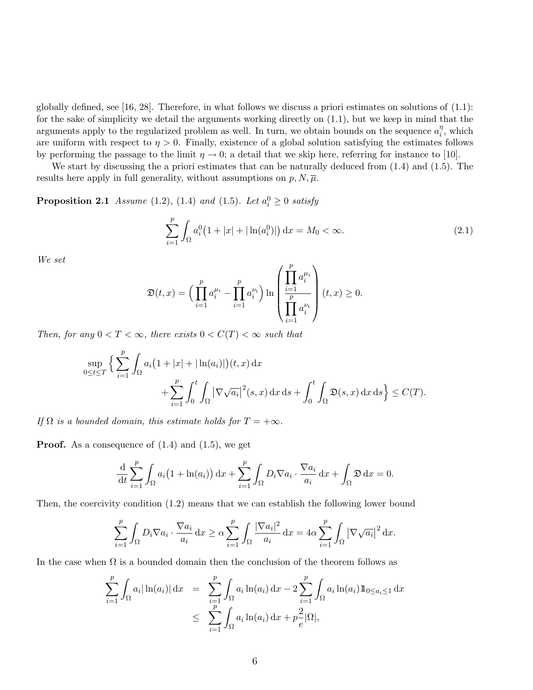globally defined, see [16, 28]. Therefore, in what follows we discuss a priori estimates on solutions of  $(1.1)$ : for the sake of simplicity we detail the arguments working directly on (1.1), but we keep in mind that the arguments apply to the regularized problem as well. In turn, we obtain bounds on the sequence  $a_i^{\eta}$  $i^{\eta}$ , which are uniform with respect to  $\eta > 0$ . Finally, existence of a global solution satisfying the estimates follows by performing the passage to the limit  $\eta \to 0$ ; a detail that we skip here, referring for instance to [10].

We start by discussing the a priori estimates that can be naturally deduced from (1.4) and (1.5). The results here apply in full generality, without assumptions on  $p, N, \overline{\mu}$ .

**Proposition 2.1** Assume (1.2), (1.4) and (1.5). Let  $a_i^0 \ge 0$  satisfy

$$
\sum_{i=1}^{p} \int_{\Omega} a_i^0 \left( 1 + |x| + |\ln(a_i^0)| \right) dx = M_0 < \infty. \tag{2.1}
$$

We set

$$
\mathfrak{D}(t,x) = \Big(\prod_{i=1}^p a_i^{\mu_i} - \prod_{i=1}^p a_i^{\nu_i}\Big) \ln \left(\frac{\prod_{i=1}^p a_i^{\mu_i}}{\prod_{i=1}^p a_i^{\nu_i}}\right)(t,x) \ge 0.
$$

Then, for any  $0 < T < \infty$ , there exists  $0 < C(T) < \infty$  such that

$$
\sup_{0\leq t\leq T}\Big\{\sum_{i=1}^p\int_{\Omega}a_i\big(1+|x|+|\ln(a_i)|\big)(t,x)\,\mathrm{d}x
$$

$$
+\sum_{i=1}^p\int_0^t\int_{\Omega}|\nabla\sqrt{a_i}|^2(s,x)\,\mathrm{d}x\,\mathrm{d}s+\int_0^t\int_{\Omega}\mathfrak{D}(s,x)\,\mathrm{d}x\,\mathrm{d}s\Big\}\leq C(T).
$$

If  $\Omega$  is a bounded domain, this estimate holds for  $T = +\infty$ .

**Proof.** As a consequence of  $(1.4)$  and  $(1.5)$ , we get

$$
\frac{\mathrm{d}}{\mathrm{d}t} \sum_{i=1}^p \int_{\Omega} a_i \big(1 + \ln(a_i)\big) \, \mathrm{d}x + \sum_{i=1}^p \int_{\Omega} D_i \nabla a_i \cdot \frac{\nabla a_i}{a_i} \, \mathrm{d}x + \int_{\Omega} \mathfrak{D} \, \mathrm{d}x = 0.
$$

Then, the coercivity condition (1.2) means that we can establish the following lower bound

$$
\sum_{i=1}^p \int_{\Omega} D_i \nabla a_i \cdot \frac{\nabla a_i}{a_i} dx \ge \alpha \sum_{i=1}^p \int_{\Omega} \frac{|\nabla a_i|^2}{a_i} dx = 4\alpha \sum_{i=1}^p \int_{\Omega} |\nabla \sqrt{a_i}|^2 dx.
$$

In the case when  $\Omega$  is a bounded domain then the conclusion of the theorem follows as

$$
\sum_{i=1}^{p} \int_{\Omega} a_i |\ln(a_i)| dx = \sum_{\substack{i=1 \ i \neq j}}^{p} \int_{\Omega} a_i \ln(a_i) dx - 2 \sum_{i=1}^{p} \int_{\Omega} a_i \ln(a_i) 1_{0 \le a_i \le 1} dx
$$
  

$$
\le \sum_{i=1}^{p} \int_{\Omega} a_i \ln(a_i) dx + p \frac{2}{e} |\Omega|,
$$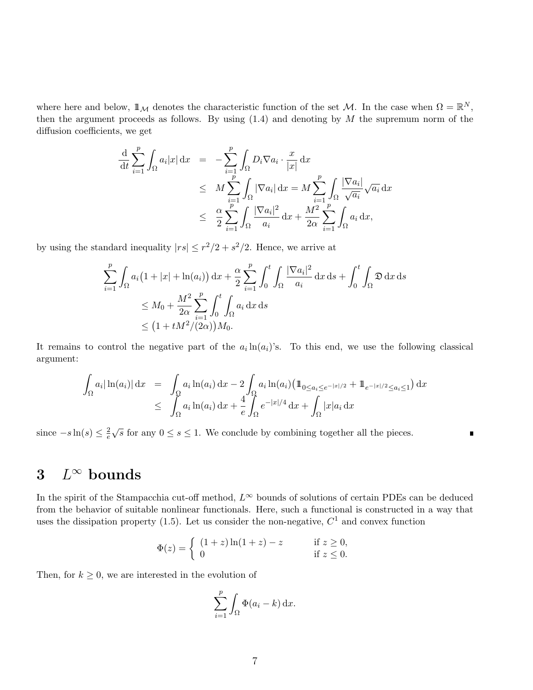where here and below,  $\mathbb{1}_{\mathcal{M}}$  denotes the characteristic function of the set M. In the case when  $\Omega = \mathbb{R}^N$ , then the argument proceeds as follows. By using  $(1.4)$  and denoting by  $M$  the supremum norm of the diffusion coefficients, we get

$$
\frac{\mathrm{d}}{\mathrm{d}t} \sum_{i=1}^{p} \int_{\Omega} a_i |x| \, \mathrm{d}x = -\sum_{i=1}^{p} \int_{\Omega} D_i \nabla a_i \cdot \frac{x}{|x|} \, \mathrm{d}x \n\leq M \sum_{i=1}^{p} \int_{\Omega} |\nabla a_i| \, \mathrm{d}x = M \sum_{i=1}^{p} \int_{\Omega} \frac{|\nabla a_i|}{\sqrt{a_i}} \sqrt{a_i} \, \mathrm{d}x \n\leq \frac{\alpha}{2} \sum_{i=1}^{p} \int_{\Omega} \frac{|\nabla a_i|^2}{a_i} \, \mathrm{d}x + \frac{M^2}{2\alpha} \sum_{i=1}^{p} \int_{\Omega} a_i \, \mathrm{d}x,
$$

by using the standard inequality  $|rs| \leq r^2/2 + s^2/2$ . Hence, we arrive at

$$
\sum_{i=1}^{p} \int_{\Omega} a_i (1 + |x| + \ln(a_i)) dx + \frac{\alpha}{2} \sum_{i=1}^{p} \int_{0}^{t} \int_{\Omega} \frac{|\nabla a_i|^2}{a_i} dx ds + \int_{0}^{t} \int_{\Omega} \mathfrak{D} dx ds
$$
  
\n
$$
\leq M_0 + \frac{M^2}{2\alpha} \sum_{i=1}^{p} \int_{0}^{t} \int_{\Omega} a_i dx ds
$$
  
\n
$$
\leq (1 + tM^2/(2\alpha)) M_0.
$$

It remains to control the negative part of the  $a_i \ln(a_i)$ 's. To this end, we use the following classical argument:

$$
\int_{\Omega} a_i |\ln(a_i)| dx = \int_{\Omega} a_i \ln(a_i) dx - 2 \int_{\Omega} a_i \ln(a_i) (\ln_{0 \le a_i \le e^{-|x|/2}} + \ln_{e^{-|x|/2} \le a_i \le 1}) dx
$$
  

$$
\le \int_{\Omega} a_i \ln(a_i) dx + \frac{4}{e} \int_{\Omega} e^{-|x|/4} dx + \int_{\Omega} |x| a_i dx
$$

П

since  $-s\ln(s) \leq \frac{2}{e}$ e  $\sqrt{s}$  for any  $0 \le s \le 1$ . We conclude by combining together all the pieces.

# 3  $L^\infty$  bounds

In the spirit of the Stampacchia cut-off method,  $L^{\infty}$  bounds of solutions of certain PDEs can be deduced from the behavior of suitable nonlinear functionals. Here, such a functional is constructed in a way that uses the dissipation property (1.5). Let us consider the non-negative,  $C<sup>1</sup>$  and convex function

$$
\Phi(z) = \begin{cases} (1+z)\ln(1+z) - z & \text{if } z \ge 0, \\ 0 & \text{if } z \le 0. \end{cases}
$$

Then, for  $k \geq 0$ , we are interested in the evolution of

$$
\sum_{i=1}^p \int_{\Omega} \Phi(a_i - k) \, \mathrm{d}x.
$$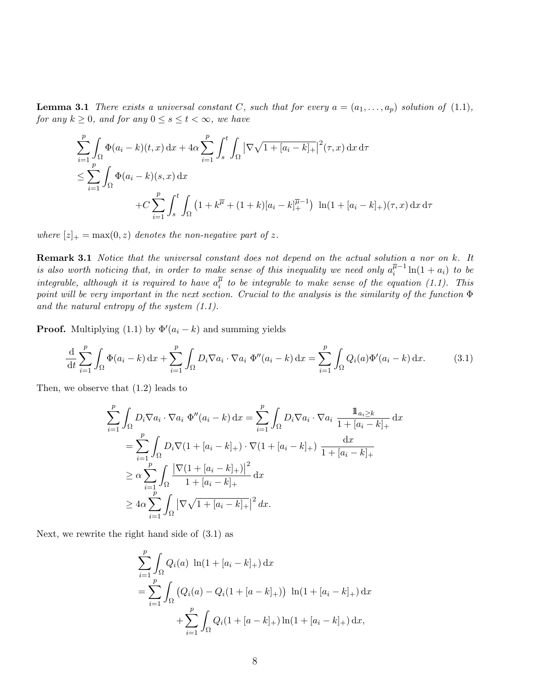**Lemma 3.1** There exists a universal constant C, such that for every  $a = (a_1, \ldots, a_p)$  solution of (1.1), for any  $k \geq 0$ , and for any  $0 \leq s \leq t < \infty$ , we have

$$
\sum_{i=1}^{p} \int_{\Omega} \Phi(a_i - k)(t, x) dx + 4\alpha \sum_{i=1}^{p} \int_{s}^{t} \int_{\Omega} |\nabla \sqrt{1 + [a_i - k]_{+}}|^{2}(\tau, x) dx d\tau
$$
  

$$
\leq \sum_{i=1}^{p} \int_{\Omega} \Phi(a_i - k)(s, x) dx
$$
  

$$
+ C \sum_{i=1}^{p} \int_{s}^{t} \int_{\Omega} (1 + k^{\overline{\mu}} + (1 + k)[a_i - k]_{+}^{\overline{\mu}-1}) \ln(1 + [a_i - k]_{+})(\tau, x) dx d\tau
$$

where  $[z]_+ = \max(0, z)$  denotes the non-negative part of z.

Remark 3.1 Notice that the universal constant does not depend on the actual solution a nor on k. It is also worth noticing that, in order to make sense of this inequality we need only  $a_i^{\overline{\mu}-1}$  $\int_{i}^{\mu-1} \ln(1 + a_i) \ to \ be$ integrable, although it is required to have  $a_i^{\overline{\mu}}$  $\frac{\mu}{i}$  to be integrable to make sense of the equation (1.1). This point will be very important in the next section. Crucial to the analysis is the similarity of the function  $\Phi$ and the natural entropy of the system  $(1.1)$ .

**Proof.** Multiplying (1.1) by  $\Phi'(a_i - k)$  and summing yields

$$
\frac{\mathrm{d}}{\mathrm{d}t} \sum_{i=1}^{p} \int_{\Omega} \Phi(a_i - k) \, \mathrm{d}x + \sum_{i=1}^{p} \int_{\Omega} D_i \nabla a_i \cdot \nabla a_i \, \Phi''(a_i - k) \, \mathrm{d}x = \sum_{i=1}^{p} \int_{\Omega} Q_i(a) \Phi'(a_i - k) \, \mathrm{d}x. \tag{3.1}
$$

Then, we observe that (1.2) leads to

$$
\sum_{i=1}^{p} \int_{\Omega} D_{i} \nabla a_{i} \cdot \nabla a_{i} \Phi''(a_{i} - k) dx = \sum_{i=1}^{p} \int_{\Omega} D_{i} \nabla a_{i} \cdot \nabla a_{i} \frac{\mathbb{1}_{a_{i} \geq k}}{1 + [a_{i} - k]_{+}} dx
$$
  
\n
$$
= \sum_{i=1}^{p} \int_{\Omega} D_{i} \nabla (1 + [a_{i} - k]_{+}) \cdot \nabla (1 + [a_{i} - k]_{+}) \frac{dx}{1 + [a_{i} - k]_{+}}
$$
  
\n
$$
\geq \alpha \sum_{i=1}^{p} \int_{\Omega} \frac{|\nabla (1 + [a_{i} - k]_{+})|^{2}}{1 + [a_{i} - k]_{+}} dx
$$
  
\n
$$
\geq 4\alpha \sum_{i=1}^{p} \int_{\Omega} |\nabla \sqrt{1 + [a_{i} - k]_{+}}|^{2} dx.
$$

Next, we rewrite the right hand side of (3.1) as

$$
\sum_{i=1}^{p} \int_{\Omega} Q_i(a) \ln(1 + [a_i - k]_+) dx
$$
  
= 
$$
\sum_{i=1}^{p} \int_{\Omega} (Q_i(a) - Q_i(1 + [a - k]_+)) \ln(1 + [a_i - k]_+) dx
$$
  
+ 
$$
\sum_{i=1}^{p} \int_{\Omega} Q_i(1 + [a - k]_+) \ln(1 + [a_i - k]_+) dx,
$$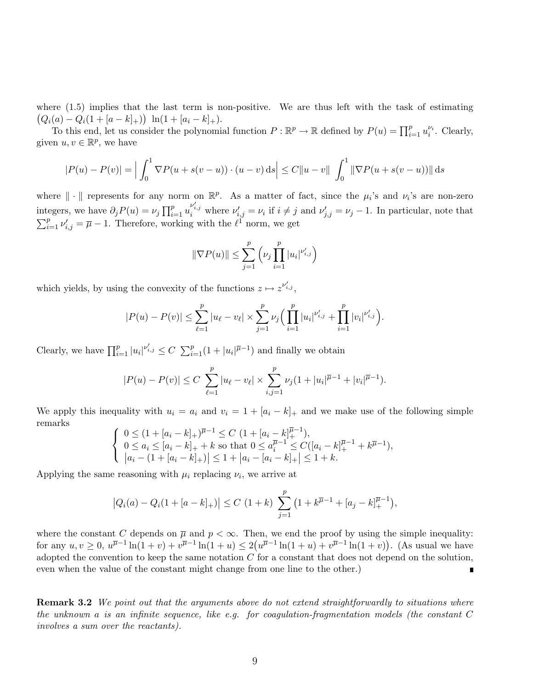where  $(1.5)$  implies that the last term is non-positive. We are thus left with the task of estimating  $(Q_i(a) - Q_i(1 + [a-k]_+)) \ln(1 + [a_i - k]_+).$ 

To this end, let us consider the polynomial function  $P : \mathbb{R}^p \to \mathbb{R}$  defined by  $P(u) = \prod_{i=1}^p u_i^{\nu_i}$ . Clearly, given  $u, v \in \mathbb{R}^p$ , we have

$$
|P(u) - P(v)| = \left| \int_0^1 \nabla P(u + s(v - u)) \cdot (u - v) \, ds \right| \le C \|u - v\| \int_0^1 \|\nabla P(u + s(v - u))\| \, ds
$$

where  $\|\cdot\|$  represents for any norm on  $\mathbb{R}^p$ . As a matter of fact, since the  $\mu_i$ 's and  $\nu_i$ 's are non-zero integers, we have  $\partial_j P(u) = \nu_j \prod_{i=1}^p u_i^{\nu'_{i,j}}$  where  $\nu'_{i,j} = \nu_i$  if  $i \neq j$  and  $\nu'_{j,j} = \nu_j - 1$ . In particular, note that  $\sum_{i=1}^{p} \nu'_{i,j} = \overline{\mu} - 1$ . Therefore, working with the  $\ell^{1}$  norm, we get

$$
\|\nabla P(u)\| \le \sum_{j=1}^p \left(\nu_j \prod_{i=1}^p |u_i|^{\nu'_{i,j}}\right)
$$

which yields, by using the convexity of the functions  $z \mapsto z^{\nu'_{i,j}}$ ,

$$
|P(u) - P(v)| \leq \sum_{\ell=1}^p |u_{\ell} - v_{\ell}| \times \sum_{j=1}^p \nu_j \Big( \prod_{i=1}^p |u_i|^{\nu'_{i,j}} + \prod_{i=1}^p |v_i|^{\nu'_{i,j}} \Big).
$$

Clearly, we have  $\prod_{i=1}^p |u_i|^{v'_{i,j}} \leq C \sum_{i=1}^p (1+|u_i|^{\overline{\mu}-1})$  and finally we obtain

$$
|P(u) - P(v)| \le C \sum_{\ell=1}^p |u_\ell - v_\ell| \times \sum_{i,j=1}^p \nu_j (1 + |u_i|^{\overline{\mu}-1} + |v_i|^{\overline{\mu}-1}).
$$

We apply this inequality with  $u_i = a_i$  and  $v_i = 1 + [a_i - k]_+$  and we make use of the following simple remarks

$$
\begin{cases} 0 \le (1 + [a_i - k]_+)^{\overline{\mu}-1} \le C (1 + [a_i - k]_+^{\overline{\mu}-1}), \\ 0 \le a_i \le [a_i - k]_+ + k \text{ so that } 0 \le a_i^{\overline{\mu}-1} \le C([a_i - k]_+^{\overline{\mu}-1} + k^{\overline{\mu}-1}), \\ |a_i - (1 + [a_i - k]_+)| \le 1 + |a_i - [a_i - k]_+| \le 1 + k. \end{cases}
$$

Applying the same reasoning with  $\mu_i$  replacing  $\nu_i$ , we arrive at

$$
|Q_i(a) - Q_i(1 + [a-k]_+)| \le C (1+k) \sum_{j=1}^p (1 + k^{\overline{\mu}-1} + [a_j - k]_+^{\overline{\mu}-1}),
$$

where the constant C depends on  $\overline{\mu}$  and  $p < \infty$ . Then, we end the proof by using the simple inequality: for any  $u, v \geq 0$ ,  $u^{\overline{\mu}-1} \ln(1+v) + v^{\overline{\mu}-1} \ln(1+u) \leq 2(u^{\overline{\mu}-1} \ln(1+u) + v^{\overline{\mu}-1} \ln(1+v))$ . (As usual we have adopted the convention to keep the same notation  $C$  for a constant that does not depend on the solution, even when the value of the constant might change from one line to the other.)

**Remark 3.2** We point out that the arguments above do not extend straightforwardly to situations where the unknown a is an infinite sequence, like e.g. for coagulation-fragmentation models (the constant C involves a sum over the reactants).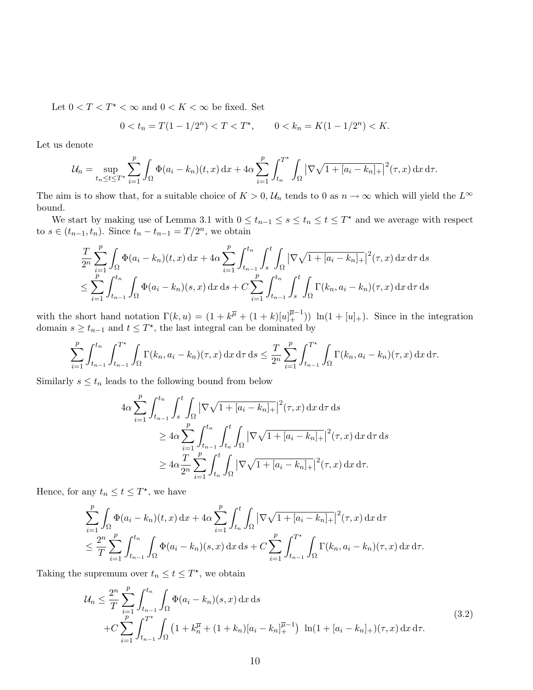Let  $0 < T < T^* < \infty$  and  $0 < K < \infty$  be fixed. Set

$$
0 < t_n = T(1 - 1/2^n) < T < T^*, \qquad 0 < k_n = K(1 - 1/2^n) < K.
$$

Let us denote

$$
\mathcal{U}_n = \sup_{t_n \le t \le T^*} \sum_{i=1}^p \int_{\Omega} \Phi(a_i - k_n)(t, x) \, \mathrm{d}x + 4\alpha \sum_{i=1}^p \int_{t_n}^{T^*} \int_{\Omega} |\nabla \sqrt{1 + [a_i - k_n]_+}|^2(\tau, x) \, \mathrm{d}x \, \mathrm{d}\tau.
$$

The aim is to show that, for a suitable choice of  $K > 0$ ,  $\mathcal{U}_n$  tends to 0 as  $n \to \infty$  which will yield the  $L^{\infty}$ bound.

We start by making use of Lemma 3.1 with  $0 \le t_{n-1} \le s \le t_n \le t \le T^*$  and we average with respect to  $s \in (t_{n-1}, t_n)$ . Since  $t_n - t_{n-1} = T/2^n$ , we obtain

$$
\frac{T}{2^n} \sum_{i=1}^p \int_{\Omega} \Phi(a_i - k_n)(t, x) dx + 4\alpha \sum_{i=1}^p \int_{t_{n-1}}^{t_n} \int_s^t \int_{\Omega} |\nabla \sqrt{1 + [a_i - k_n]_+}|^2(\tau, x) dx d\tau ds
$$
\n
$$
\leq \sum_{i=1}^p \int_{t_{n-1}}^{t_n} \int_{\Omega} \Phi(a_i - k_n)(s, x) dx ds + C \sum_{i=1}^p \int_{t_{n-1}}^{t_n} \int_s^t \int_{\Omega} \Gamma(k_n, a_i - k_n)(\tau, x) dx d\tau ds
$$

with the short hand notation  $\Gamma(k, u) = (1 + k^{\overline{\mu}} + (1 + k)[u]_{+}^{\overline{\mu}-1})$   $\ln(1 + [u]_{+})$ . Since in the integration domain  $s \geq t_{n-1}$  and  $t \leq T^*$ , the last integral can be dominated by

$$
\sum_{i=1}^p \int_{t_{n-1}}^{t_n} \int_{t_{n-1}}^{T^*} \int_{\Omega} \Gamma(k_n, a_i - k_n)(\tau, x) \, dx \, d\tau \, ds \leq \frac{T}{2^n} \sum_{i=1}^p \int_{t_{n-1}}^{T^*} \int_{\Omega} \Gamma(k_n, a_i - k_n)(\tau, x) \, dx \, d\tau.
$$

Similarly  $s \leq t_n$  leads to the following bound from below

$$
4\alpha \sum_{i=1}^{p} \int_{t_{n-1}}^{t_n} \int_{s}^{t} \int_{\Omega} |\nabla \sqrt{1 + [a_i - k_n]_{+}}|^{2}(\tau, x) \,dx \,d\tau \,ds
$$
  
\n
$$
\geq 4\alpha \sum_{i=1}^{p} \int_{t_{n-1}}^{t_n} \int_{t_n}^{t} \int_{\Omega} |\nabla \sqrt{1 + [a_i - k_n]_{+}}|^{2}(\tau, x) \,dx \,d\tau \,ds
$$
  
\n
$$
\geq 4\alpha \frac{T}{2^n} \sum_{i=1}^{p} \int_{t_n}^{t} \int_{\Omega} |\nabla \sqrt{1 + [a_i - k_n]_{+}}|^{2}(\tau, x) \,dx \,d\tau.
$$

Hence, for any  $t_n \leq t \leq T^*$ , we have

$$
\sum_{i=1}^{p} \int_{\Omega} \Phi(a_i - k_n)(t, x) dx + 4\alpha \sum_{i=1}^{p} \int_{t_n}^{t} \int_{\Omega} |\nabla \sqrt{1 + [a_i - k_n]_{+}}|^2(\tau, x) dx d\tau
$$
  

$$
\leq \frac{2^n}{T} \sum_{i=1}^{p} \int_{t_{n-1}}^{t_n} \int_{\Omega} \Phi(a_i - k_n)(s, x) dx ds + C \sum_{i=1}^{p} \int_{t_{n-1}}^{T^*} \int_{\Omega} \Gamma(k_n, a_i - k_n)(\tau, x) dx d\tau.
$$

Taking the supremum over  $t_n \leq t \leq T^*$ , we obtain

$$
\mathcal{U}_n \leq \frac{2^n}{T} \sum_{i=1}^p \int_{t_{n-1}}^{t_n} \int_{\Omega} \Phi(a_i - k_n)(s, x) \, dx \, ds
$$
  
+ 
$$
C \sum_{i=1}^p \int_{t_{n-1}}^{T^*} \int_{\Omega} \left( 1 + k_n^{\overline{\mu}} + (1 + k_n)[a_i - k_n]_+^{\overline{\mu}-1} \right) \ln(1 + [a_i - k_n]_+)(\tau, x) \, dx \, d\tau.
$$
 (3.2)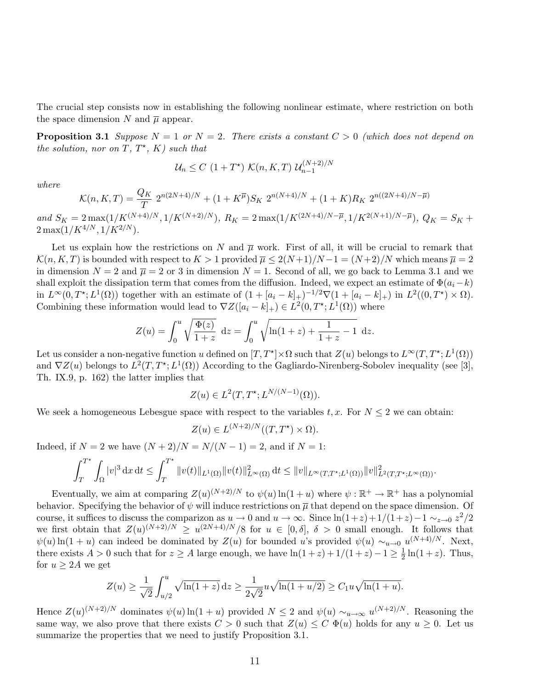The crucial step consists now in establishing the following nonlinear estimate, where restriction on both the space dimension N and  $\overline{\mu}$  appear.

**Proposition 3.1** Suppose  $N = 1$  or  $N = 2$ . There exists a constant  $C > 0$  (which does not depend on the solution, nor on  $T, T^*$ ,  $K$ ) such that

$$
\mathcal{U}_n \le C \left(1 + T^{\star}\right) \mathcal{K}(n, K, T) \mathcal{U}_{n-1}^{(N+2)/N}
$$

where

$$
\mathcal{K}(n, K, T) = \frac{Q_K}{T} 2^{n(2N+4)/N} + (1 + K^{\overline{\mu}}) S_K 2^{n(N+4)/N} + (1 + K) R_K 2^{n((2N+4)/N - \overline{\mu})}
$$

and  $S_K = 2 \max(1/K^{(N+4)/N}, 1/K^{(N+2)/N})$ ,  $R_K = 2 \max(1/K^{(2N+4)/N - \overline{\mu}}, 1/K^{2(N+1)/N - \overline{\mu}})$ ,  $Q_K = S_K +$  $2 \max(1/K^{4/N}, 1/K^{2/N}).$ 

Let us explain how the restrictions on N and  $\overline{\mu}$  work. First of all, it will be crucial to remark that  $\mathcal{K}(n, K, T)$  is bounded with respect to  $K > 1$  provided  $\overline{\mu} \leq 2(N+1)/N-1 = (N+2)/N$  which means  $\overline{\mu} = 2$ in dimension  $N = 2$  and  $\overline{\mu} = 2$  or 3 in dimension  $N = 1$ . Second of all, we go back to Lemma 3.1 and we shall exploit the dissipation term that comes from the diffusion. Indeed, we expect an estimate of  $\Phi(a_i-k)$ in  $L^{\infty}(0,T^{\star};L^{1}(\Omega))$  together with an estimate of  $(1+[a_{i}-k]_{+})^{-1/2}\nabla(1+[a_{i}-k]_{+})$  in  $L^{2}((0,T^{\star})\times\Omega)$ . Combining these information would lead to  $\nabla Z([a_i-k]_+) \in L^2(0,T^*;L^1(\Omega))$  where

$$
Z(u) = \int_0^u \sqrt{\frac{\Phi(z)}{1+z}} dz = \int_0^u \sqrt{\ln(1+z) + \frac{1}{1+z} - 1} dz.
$$

Let us consider a non-negative function u defined on  $[T, T^*] \times \Omega$  such that  $Z(u)$  belongs to  $L^\infty(T, T^*; L^1(\Omega))$ and  $\nabla Z(u)$  belongs to  $L^2(T, T^*; L^1(\Omega))$  According to the Gagliardo-Nirenberg-Sobolev inequality (see [3], Th. IX.9, p. 162) the latter implies that

$$
Z(u) \in L^{2}(T, T^{\star}; L^{N/(N-1)}(\Omega)).
$$

We seek a homogeneous Lebesgue space with respect to the variables  $t, x$ . For  $N \leq 2$  we can obtain:

$$
Z(u) \in L^{(N+2)/N}((T, T^*) \times \Omega).
$$

Indeed, if  $N = 2$  we have  $(N + 2)/N = N/(N - 1) = 2$ , and if  $N = 1$ :

$$
\int_{T}^{T^{\star}} \int_{\Omega} |v|^{3} dx dt \leq \int_{T}^{T^{\star}} \|v(t)\|_{L^{1}(\Omega)} \|v(t)\|_{L^{\infty}(\Omega)}^{2} dt \leq \|v\|_{L^{\infty}(T,T^{\star};L^{1}(\Omega))} \|v\|_{L^{2}(T,T^{\star};L^{\infty}(\Omega))}^{2}.
$$

Eventually, we aim at comparing  $Z(u)^{(N+2)/N}$  to  $\psi(u) \ln(1+u)$  where  $\psi : \mathbb{R}^+ \to \mathbb{R}^+$  has a polynomial behavior. Specifying the behavior of  $\psi$  will induce restrictions on  $\overline{\mu}$  that depend on the space dimension. Of course, it suffices to discuss the comparizon as  $u \to 0$  and  $u \to \infty$ . Since  $\ln(1+z) + 1/(1+z) - 1 \sim_{z\to 0} z^2/2$ we first obtain that  $Z(u)^{(N+2)/N} \geq u^{(2N+4)/N}/8$  for  $u \in [0,\delta], \delta > 0$  small enough. It follows that  $\psi(u) \ln(1+u)$  can indeed be dominated by  $Z(u)$  for bounded u's provided  $\psi(u) \sim_{u\to 0} u^{(N+4)/N}$ . Next, there exists  $A > 0$  such that for  $z \ge A$  large enough, we have  $\ln(1+z) + 1/(1+z) - 1 \ge \frac{1}{2}$  $\frac{1}{2}\ln(1+z)$ . Thus, for  $u \geq 2A$  we get

$$
Z(u) \ge \frac{1}{\sqrt{2}} \int_{u/2}^{u} \sqrt{\ln(1+z)} dz \ge \frac{1}{2\sqrt{2}} u \sqrt{\ln(1+u/2)} \ge C_1 u \sqrt{\ln(1+u)}.
$$

Hence  $Z(u)^{(N+2)/N}$  dominates  $\psi(u) \ln(1+u)$  provided  $N \leq 2$  and  $\psi(u) \sim_{u \to \infty} u^{(N+2)/N}$ . Reasoning the same way, we also prove that there exists  $C > 0$  such that  $Z(u) \leq C \Phi(u)$  holds for any  $u \geq 0$ . Let us summarize the properties that we need to justify Proposition 3.1.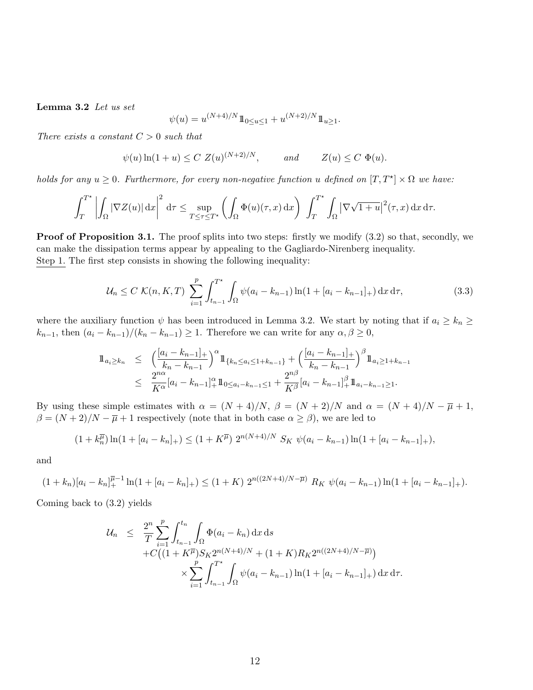Lemma 3.2 Let us set

$$
\psi(u) = u^{(N+4)/N} 1\!\!1_{0 \le u \le 1} + u^{(N+2)/N} 1\!\!1_{u \ge 1}.
$$

There exists a constant  $C > 0$  such that

$$
\psi(u)\ln(1+u) \le C Z(u)^{(N+2)/N}, \qquad \text{and} \qquad Z(u) \le C \Phi(u).
$$

holds for any  $u \geq 0$ . Furthermore, for every non-negative function u defined on  $[T, T^{\star}] \times \Omega$  we have:

$$
\int_T^{T^*} \left| \int_{\Omega} |\nabla Z(u)| \,\mathrm{d} x \right|^2 \,\mathrm{d} \tau \leq \sup_{T \leq \tau \leq T^*} \left( \int_{\Omega} \Phi(u)(\tau, x) \,\mathrm{d} x \right) \int_T^{T^*} \int_{\Omega} \left| \nabla \sqrt{1+u} \right|^2(\tau, x) \,\mathrm{d} x \,\mathrm{d} \tau.
$$

**Proof of Proposition 3.1.** The proof splits into two steps: firstly we modify  $(3.2)$  so that, secondly, we can make the dissipation terms appear by appealing to the Gagliardo-Nirenberg inequality. Step 1. The first step consists in showing the following inequality:

$$
\mathcal{U}_n \le C \ \mathcal{K}(n, K, T) \ \sum_{i=1}^p \int_{t_{n-1}}^{T^*} \int_{\Omega} \psi(a_i - k_{n-1}) \ln(1 + [a_i - k_{n-1}]_+) \, \mathrm{d}x \, \mathrm{d}\tau,\tag{3.3}
$$

where the auxiliary function  $\psi$  has been introduced in Lemma 3.2. We start by noting that if  $a_i \geq k_n \geq$  $k_{n-1}$ , then  $(a_i - k_{n-1})/(k_n - k_{n-1}) \geq 1$ . Therefore we can write for any  $\alpha, \beta \geq 0$ ,

$$
\begin{array}{lcl}\n\mathbb{1}_{a_{i}\geq k_{n}} & \leq & \left(\frac{[a_{i}-k_{n-1}]_{+}}{k_{n}-k_{n-1}}\right)^{\alpha}\mathbb{1}_{\{k_{n}\leq a_{i}\leq 1+k_{n-1}\}} + \left(\frac{[a_{i}-k_{n-1}]_{+}}{k_{n}-k_{n-1}}\right)^{\beta}\mathbb{1}_{a_{i}\geq 1+k_{n-1}} \\
& \leq & \frac{2^{n\alpha}}{K^{\alpha}}[a_{i}-k_{n-1}]_{+}^{\alpha}\mathbb{1}_{0\leq a_{i}-k_{n-1}\leq 1} + \frac{2^{n\beta}}{K^{\beta}}[a_{i}-k_{n-1}]_{+}^{\beta}\mathbb{1}_{a_{i}-k_{n-1}\geq 1}.\n\end{array}
$$

By using these simple estimates with  $\alpha = (N+4)/N$ ,  $\beta = (N+2)/N$  and  $\alpha = (N+4)/N - \overline{\mu} + 1$ ,  $\beta = (N+2)/N - \overline{\mu} + 1$  respectively (note that in both case  $\alpha \ge \beta$ ), we are led to

$$
(1 + k_n^{\overline{\mu}}) \ln(1 + [a_i - k_n]_+) \le (1 + K^{\overline{\mu}}) 2^{n(N+4)/N} S_K \psi(a_i - k_{n-1}) \ln(1 + [a_i - k_{n-1}]_+),
$$

and

$$
(1+k_n)[a_i-k_n]_+^{\overline{\mu}-1}\ln(1+[a_i-k_n]_+) \le (1+K)\ 2^{n((2N+4)/N-\overline{\mu})}\ R_K\ \psi(a_i-k_{n-1})\ln(1+[a_i-k_{n-1}]_+).
$$

Coming back to (3.2) yields

$$
\mathcal{U}_n \leq \frac{2^n}{T} \sum_{i=1}^p \int_{t_{n-1}}^{t_n} \int_{\Omega} \Phi(a_i - k_n) \, dx \, ds \n+ C \big( (1 + K^{\overline{\mu}}) S_K 2^{n(N+4)/N} + (1 + K) R_K 2^{n((2N+4)/N - \overline{\mu})} \big) \n\times \sum_{i=1}^p \int_{t_{n-1}}^{T^*} \int_{\Omega} \psi(a_i - k_{n-1}) \ln(1 + [a_i - k_{n-1}]_+) \, dx \, d\tau.
$$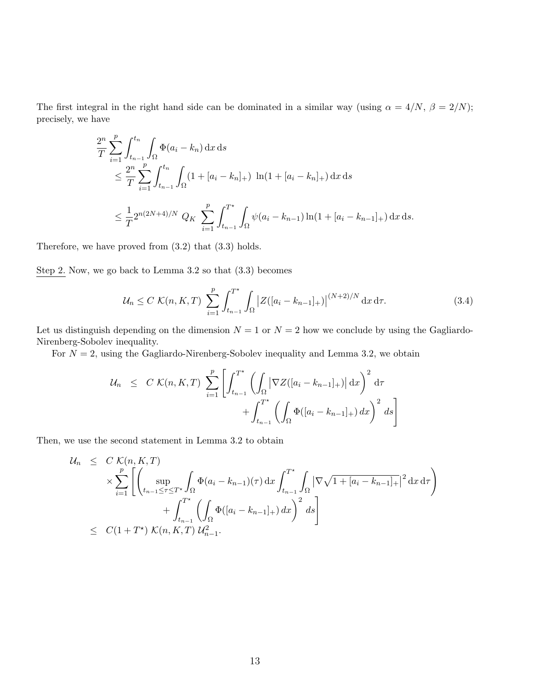The first integral in the right hand side can be dominated in a similar way (using  $\alpha = 4/N$ ,  $\beta = 2/N$ ); precisely, we have

$$
\frac{2^n}{T} \sum_{i=1}^p \int_{t_{n-1}}^{t_n} \int_{\Omega} \Phi(a_i - k_n) \, dx \, ds
$$
\n
$$
\leq \frac{2^n}{T} \sum_{i=1}^p \int_{t_{n-1}}^{t_n} \int_{\Omega} (1 + [a_i - k_n]_+) \ln(1 + [a_i - k_n]_+) \, dx \, ds
$$
\n
$$
\leq \frac{1}{T} 2^{n(2N+4)/N} \, Q_K \sum_{i=1}^p \int_{t_{n-1}}^{T^*} \int_{\Omega} \psi(a_i - k_{n-1}) \ln(1 + [a_i - k_{n-1}]_+) \, dx \, ds.
$$

Therefore, we have proved from (3.2) that (3.3) holds.

Step 2. Now, we go back to Lemma 3.2 so that (3.3) becomes

$$
\mathcal{U}_n \le C \ \mathcal{K}(n, K, T) \ \sum_{i=1}^p \int_{t_{n-1}}^{T^*} \int_{\Omega} \left| Z([a_i - k_{n-1}]_+) \right|^{(N+2)/N} \mathrm{d}x \, \mathrm{d}\tau. \tag{3.4}
$$

Let us distinguish depending on the dimension  $N = 1$  or  $N = 2$  how we conclude by using the Gagliardo-Nirenberg-Sobolev inequality.

For  $N = 2$ , using the Gagliardo-Nirenberg-Sobolev inequality and Lemma 3.2, we obtain

$$
\mathcal{U}_n \leq C \mathcal{K}(n, K, T) \sum_{i=1}^p \left[ \int_{t_{n-1}}^{T^*} \left( \int_{\Omega} |\nabla Z([a_i - k_{n-1}]_+) | \, dx \right)^2 d\tau + \int_{t_{n-1}}^{T^*} \left( \int_{\Omega} \Phi([a_i - k_{n-1}]_+) \, dx \right)^2 ds \right]
$$

Then, we use the second statement in Lemma 3.2 to obtain

$$
\mathcal{U}_n \leq C \mathcal{K}(n, K, T)
$$
\n
$$
\times \sum_{i=1}^p \left[ \left( \sup_{t_{n-1} \leq \tau \leq T^*} \int_{\Omega} \Phi(a_i - k_{n-1})(\tau) \, dx \int_{t_{n-1}}^{T^*} \int_{\Omega} |\nabla \sqrt{1 + [a_i - k_{n-1}]_+}|^2 \, dx \, d\tau \right) + \int_{t_{n-1}}^{T^*} \left( \int_{\Omega} \Phi([a_i - k_{n-1}]_+) \, dx \right)^2 \, ds \right]
$$
\n
$$
\leq C(1 + T^*) \mathcal{K}(n, K, T) \mathcal{U}_{n-1}^2.
$$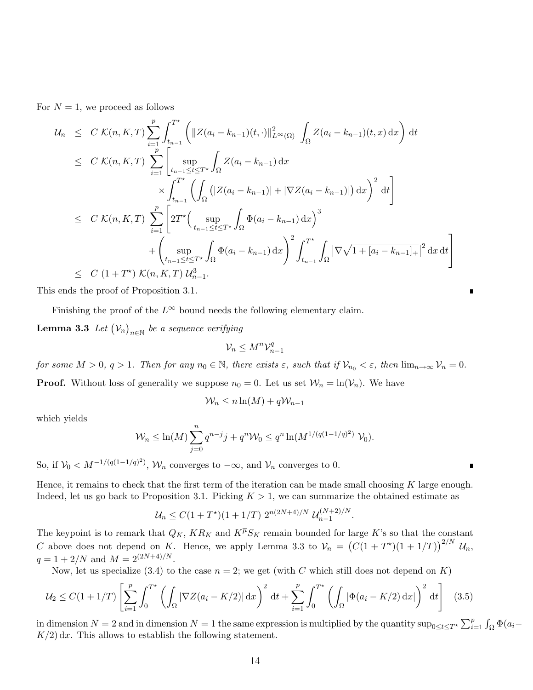For  $N = 1$ , we proceed as follows

$$
\mathcal{U}_{n} \leq C \mathcal{K}(n, K, T) \sum_{i=1}^{p} \int_{t_{n-1}}^{T^{*}} \left( \|Z(a_{i} - k_{n-1})(t, \cdot)\|_{L^{\infty}(\Omega)}^{2} \int_{\Omega} Z(a_{i} - k_{n-1})(t, x) dx \right) dt
$$
\n
$$
\leq C \mathcal{K}(n, K, T) \sum_{i=1}^{p} \left[ \sup_{t_{n-1} \leq t \leq T^{*}} \int_{\Omega} Z(a_{i} - k_{n-1}) dx \right. \times \int_{t_{n-1}}^{T^{*}} \left( \int_{\Omega} (|Z(a_{i} - k_{n-1})| + |\nabla Z(a_{i} - k_{n-1})|) dx \right)^{2} dt \right]
$$
\n
$$
\leq C \mathcal{K}(n, K, T) \sum_{i=1}^{p} \left[ 2T^{*} \left( \sup_{t_{n-1} \leq t \leq T^{*}} \int_{\Omega} \Phi(a_{i} - k_{n-1}) dx \right)^{3} + \left( \sup_{t_{n-1} \leq t \leq T^{*}} \int_{\Omega} \Phi(a_{i} - k_{n-1}) dx \right)^{2} \int_{t_{n-1}}^{T^{*}} \int_{\Omega} |\nabla \sqrt{1 + [a_{i} - k_{n-1}]_{+}}|^{2} dx dt \right]
$$
\n
$$
\leq C (1 + T^{*}) \mathcal{K}(n, K, T) \mathcal{U}_{n-1}^{3}.
$$

This ends the proof of Proposition 3.1.

Finishing the proof of the  $L^{\infty}$  bound needs the following elementary claim.

**Lemma 3.3** Let  $(\mathcal{V}_n)_{n \in \mathbb{N}}$  be a sequence verifying

$$
\mathcal{V}_n \le M^n \mathcal{V}_{n-1}^q
$$

for some  $M > 0$ ,  $q > 1$ . Then for any  $n_0 \in \mathbb{N}$ , there exists  $\varepsilon$ , such that if  $\mathcal{V}_{n_0} < \varepsilon$ , then  $\lim_{n \to \infty} \mathcal{V}_n = 0$ . **Proof.** Without loss of generality we suppose  $n_0 = 0$ . Let us set  $\mathcal{W}_n = \ln(\mathcal{V}_n)$ . We have

$$
\mathcal{W}_n \le n \ln(M) + q \mathcal{W}_{n-1}
$$

which yields

$$
\mathcal{W}_n \le \ln(M) \sum_{j=0}^n q^{n-j} j + q^n \mathcal{W}_0 \le q^n \ln(M^{1/(q(1-1/q)^2)} \mathcal{V}_0).
$$

So, if  $\mathcal{V}_0 < M^{-1/(q(1-1/q)^2)}$ ,  $\mathcal{W}_n$  converges to  $-\infty$ , and  $\mathcal{V}_n$  converges to 0.

Hence, it remains to check that the first term of the iteration can be made small choosing K large enough. Indeed, let us go back to Proposition 3.1. Picking  $K > 1$ , we can summarize the obtained estimate as

$$
\mathcal{U}_n \le C(1+T^{\star})(1+1/T) 2^{n(2N+4)/N} \mathcal{U}_{n-1}^{(N+2)/N}
$$

The keypoint is to remark that  $Q_K$ ,  $KR_K$  and  $K^{\overline{\mu}}S_K$  remain bounded for large K's so that the constant C above does not depend on K. Hence, we apply Lemma 3.3 to  $V_n = (C(1 + T^*)(1 + 1/T))^{2/N} U_n$ ,  $q = 1 + 2/N$  and  $M = 2^{(2N+4)/N}$ .

Now, let us specialize (3.4) to the case  $n = 2$ ; we get (with C which still does not depend on K)

$$
\mathcal{U}_2 \le C(1+1/T) \left[ \sum_{i=1}^p \int_0^{T^*} \left( \int_{\Omega} |\nabla Z(a_i - K/2)| \, \mathrm{d}x \right)^2 \, \mathrm{d}t + \sum_{i=1}^p \int_0^{T^*} \left( \int_{\Omega} |\Phi(a_i - K/2) \, \mathrm{d}x| \right)^2 \, \mathrm{d}t \right] \tag{3.5}
$$

in dimension  $N = 2$  and in dimension  $N = 1$  the same expression is multiplied by the quantity  $\sup_{0 \le t \le T^*} \sum_{i=1}^p \int_{\Omega} \Phi(a_i - a_i)$  $K/2$  dx. This allows to establish the following statement.

.

Ē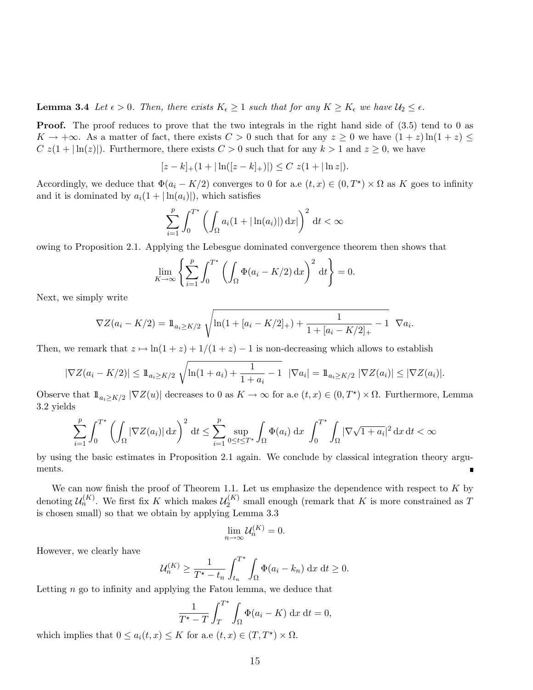**Lemma 3.4** Let  $\epsilon > 0$ . Then, there exists  $K_{\epsilon} \geq 1$  such that for any  $K \geq K_{\epsilon}$  we have  $\mathcal{U}_2 \leq \epsilon$ .

**Proof.** The proof reduces to prove that the two integrals in the right hand side of  $(3.5)$  tend to 0 as  $K \to +\infty$ . As a matter of fact, there exists  $C > 0$  such that for any  $z \ge 0$  we have  $(1 + z) \ln(1 + z) \le$ C  $z(1+|\ln(z)|)$ . Furthermore, there exists  $C > 0$  such that for any  $k > 1$  and  $z \ge 0$ , we have

$$
[z-k]_{+}(1+|\ln([z-k]_{+})|)\leq C\ z(1+|\ln z|).
$$

Accordingly, we deduce that  $\Phi(a_i - K/2)$  converges to 0 for a.e  $(t, x) \in (0, T^*) \times \Omega$  as K goes to infinity and it is dominated by  $a_i(1+|\ln(a_i)|)$ , which satisfies

$$
\sum_{i=1}^{p} \int_0^{T^*} \left( \int_{\Omega} a_i (1 + |\ln(a_i)|) \, \mathrm{d}x \, \mathrm{d}x \right)^2 \, \mathrm{d}t < \infty
$$

owing to Proposition 2.1. Applying the Lebesgue dominated convergence theorem then shows that

$$
\lim_{K \to \infty} \left\{ \sum_{i=1}^{p} \int_0^{T^*} \left( \int_{\Omega} \Phi(a_i - K/2) \, \mathrm{d}x \right)^2 \, \mathrm{d}t \right\} = 0.
$$

Next, we simply write

$$
\nabla Z(a_i - K/2) = 1\!\!1_{a_i \geq K/2} \sqrt{\ln(1 + [a_i - K/2]_+) + \frac{1}{1 + [a_i - K/2]_+} - 1} \nabla a_i.
$$

Then, we remark that  $z \mapsto \ln(1 + z) + 1/(1 + z) - 1$  is non-decreasing which allows to establish

$$
|\nabla Z(a_i - K/2)| \leq \mathbb{1}_{a_i \geq K/2} \sqrt{\ln(1 + a_i) + \frac{1}{1 + a_i} - 1} \quad |\nabla a_i| = \mathbb{1}_{a_i \geq K/2} \quad |\nabla Z(a_i)| \leq |\nabla Z(a_i)|.
$$

Observe that  $\mathbb{1}_{a_i \geq K/2} |\nabla Z(u)|$  decreases to 0 as  $K \to \infty$  for a.e  $(t, x) \in (0, T^*) \times \Omega$ . Furthermore, Lemma 3.2 yields

$$
\sum_{i=1}^p \int_0^{T^{\star}} \left( \int_{\Omega} |\nabla Z(a_i)| \, \mathrm{d}x \right)^2 \, \mathrm{d}t \le \sum_{i=1}^p \sup_{0 \le t \le T^{\star}} \int_{\Omega} \Phi(a_i) \, \mathrm{d}x \; \int_0^{T^{\star}} \int_{\Omega} |\nabla \sqrt{1 + a_i}|^2 \, \mathrm{d}x \, \mathrm{d}t < \infty
$$

by using the basic estimates in Proposition 2.1 again. We conclude by classical integration theory arguments.

We can now finish the proof of Theorem 1.1. Let us emphasize the dependence with respect to  $K$  by denoting  $\mathcal{U}_n^{(K)}$ . We first fix K which makes  $\mathcal{U}_2^{(K)}$  $\chi_2^{(N)}$  small enough (remark that K is more constrained as T is chosen small) so that we obtain by applying Lemma 3.3

$$
\lim_{n \to \infty} \mathcal{U}_n^{(K)} = 0.
$$

However, we clearly have

$$
\mathcal{U}_n^{(K)} \ge \frac{1}{T^{\star} - t_n} \int_{t_n}^{T^{\star}} \int_{\Omega} \Phi(a_i - k_n) \, \mathrm{d}x \, \mathrm{d}t \ge 0.
$$

Letting  $n$  go to infinity and applying the Fatou lemma, we deduce that

$$
\frac{1}{T^*-T} \int_T^{T^*} \int_{\Omega} \Phi(a_i - K) \, \mathrm{d}x \, \mathrm{d}t = 0,
$$

which implies that  $0 \le a_i(t,x) \le K$  for a.e  $(t,x) \in (T, T^*) \times \Omega$ .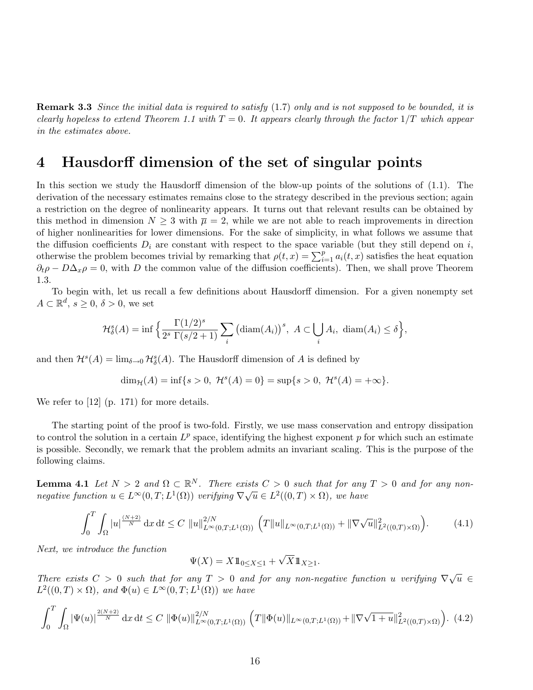**Remark 3.3** Since the initial data is required to satisfy (1.7) only and is not supposed to be bounded, it is clearly hopeless to extend Theorem 1.1 with  $T = 0$ . It appears clearly through the factor  $1/T$  which appear in the estimates above.

### 4 Hausdorff dimension of the set of singular points

In this section we study the Hausdorff dimension of the blow-up points of the solutions of (1.1). The derivation of the necessary estimates remains close to the strategy described in the previous section; again a restriction on the degree of nonlinearity appears. It turns out that relevant results can be obtained by this method in dimension  $N \geq 3$  with  $\overline{\mu} = 2$ , while we are not able to reach improvements in direction of higher nonlinearities for lower dimensions. For the sake of simplicity, in what follows we assume that the diffusion coefficients  $D_i$  are constant with respect to the space variable (but they still depend on i, otherwise the problem becomes trivial by remarking that  $\rho(t,x) = \sum_{i=1}^{p} a_i(t,x)$  satisfies the heat equation  $\partial_t \rho - D\Delta_x \rho = 0$ , with D the common value of the diffusion coefficients). Then, we shall prove Theorem 1.3.

To begin with, let us recall a few definitions about Hausdorff dimension. For a given nonempty set  $A \subset \mathbb{R}^d$ ,  $s \geq 0$ ,  $\delta > 0$ , we set

$$
\mathcal{H}_{\delta}^{s}(A) = \inf \left\{ \frac{\Gamma(1/2)^{s}}{2^{s} \Gamma(s/2 + 1)} \sum_{i} \left( \operatorname{diam}(A_{i}) \right)^{s}, A \subset \bigcup_{i} A_{i}, \operatorname{diam}(A_{i}) \leq \delta \right\},\right\}
$$

and then  $\mathcal{H}^s(A) = \lim_{\delta \to 0} \mathcal{H}^s_{\delta}(A)$ . The Hausdorff dimension of A is defined by

$$
\dim_{\mathcal{H}}(A) = \inf\{s > 0, \ \mathcal{H}^s(A) = 0\} = \sup\{s > 0, \ \mathcal{H}^s(A) = +\infty\}.
$$

We refer to [12] (p. 171) for more details.

The starting point of the proof is two-fold. Firstly, we use mass conservation and entropy dissipation to control the solution in a certain  $L^p$  space, identifying the highest exponent p for which such an estimate is possible. Secondly, we remark that the problem admits an invariant scaling. This is the purpose of the following claims.

**Lemma 4.1** Let  $N > 2$  and  $\Omega \subset \mathbb{R}^N$ . There exists  $C > 0$  such that for any  $T > 0$  and for any non-**Definite 4.1** Let  $N > 2$  and  $\Omega \subset \mathbb{R}$ . There exists  $C > 0$  such that for any negative function  $u \in L^{\infty}(0,T;L^{1}(\Omega))$  verifying  $\nabla \sqrt{u} \in L^{2}((0,T) \times \Omega)$ , we have

$$
\int_0^T \int_{\Omega} |u|^{\frac{(N+2)}{N}} \, \mathrm{d}x \, \mathrm{d}t \le C \, \|u\|_{L^\infty(0,T;L^1(\Omega))}^{2/N} \, \left( T \|u\|_{L^\infty(0,T;L^1(\Omega))} + \|\nabla \sqrt{u}\|_{L^2((0,T)\times\Omega)}^2 \right). \tag{4.1}
$$

Next, we introduce the function

$$
\Psi(X) = X \mathbb{1}_{0 \le X \le 1} + \sqrt{X} \mathbb{1}_{X \ge 1}.
$$

There exists  $C > 0$  such that for any  $T > 0$  and for any non-negative function u verifying  $\nabla \sqrt{u} \in$  $L^2((0,T)\times\Omega)$ , and  $\Phi(u)\in L^\infty(0,T;L^1(\Omega))$  we have

$$
\int_0^T \int_{\Omega} |\Psi(u)|^{\frac{2(N+2)}{N}} \, \mathrm{d}x \, \mathrm{d}t \le C \, \|\Phi(u)\|_{L^\infty(0,T;L^1(\Omega))}^{2/N} \left( T \|\Phi(u)\|_{L^\infty(0,T;L^1(\Omega))} + \|\nabla\sqrt{1+u}\|_{L^2((0,T)\times\Omega)}^2 \right). \tag{4.2}
$$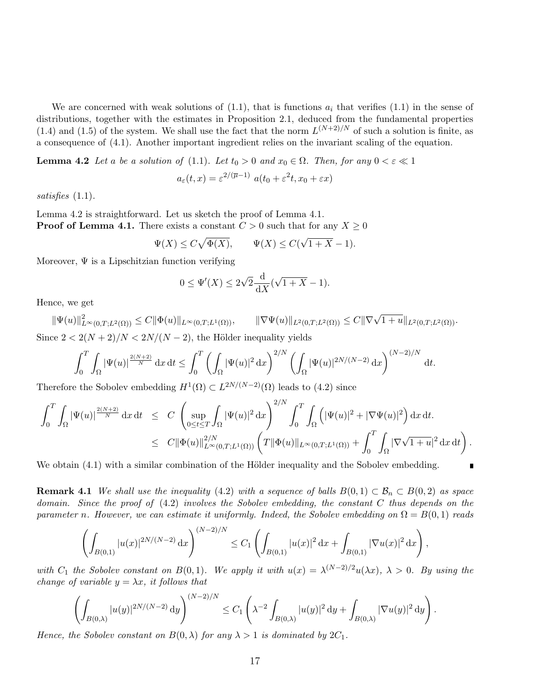We are concerned with weak solutions of  $(1.1)$ , that is functions  $a_i$  that verifies  $(1.1)$  in the sense of distributions, together with the estimates in Proposition 2.1, deduced from the fundamental properties (1.4) and (1.5) of the system. We shall use the fact that the norm  $L^{(N+2)/N}$  of such a solution is finite, as a consequence of (4.1). Another important ingredient relies on the invariant scaling of the equation.

**Lemma 4.2** Let a be a solution of (1.1). Let  $t_0 > 0$  and  $x_0 \in \Omega$ . Then, for any  $0 < \varepsilon \ll 1$ 

$$
a_{\varepsilon}(t,x) = \varepsilon^{2/(\overline{\mu}-1)} \ a(t_0 + \varepsilon^2 t, x_0 + \varepsilon x)
$$

satisfies (1.1).

Lemma 4.2 is straightforward. Let us sketch the proof of Lemma 4.1. **Proof of Lemma 4.1.** There exists a constant  $C > 0$  such that for any  $X \geq 0$ 

$$
\Psi(X) \le C\sqrt{\Phi(X)}, \qquad \Psi(X) \le C(\sqrt{1+X} - 1).
$$

Moreover,  $\Psi$  is a Lipschitzian function verifying

$$
0 \le \Psi'(X) \le 2\sqrt{2} \frac{\mathrm{d}}{\mathrm{d}X} (\sqrt{1+X} - 1).
$$

Hence, we get

 $\|\Psi(u)\|_{L^{\infty}(0,T;L^{2}(\Omega))}^{2} \leq C\|\Phi(u)\|_{L^{\infty}(0,T;L^{1}(\Omega))}, \qquad \|\nabla\Psi(u)\|_{L^{2}(0,T;L^{2}(\Omega))} \leq C\|\nabla\sqrt{1+u}\|_{L^{2}(0,T;L^{2}(\Omega))}.$ Since  $2 < 2(N+2)/N < 2N/(N-2)$ , the Hölder inequality yields

$$
\int_0^T \int_{\Omega} |\Psi(u)|^{\frac{2(N+2)}{N}} \,\mathrm{d}x \,\mathrm{d}t \le \int_0^T \left( \int_{\Omega} |\Psi(u)|^2 \,\mathrm{d}x \right)^{2/N} \left( \int_{\Omega} |\Psi(u)|^{2N/(N-2)} \,\mathrm{d}x \right)^{(N-2)/N} \,\mathrm{d}t.
$$

Therefore the Sobolev embedding  $H^1(\Omega) \subset L^{2N/(N-2)}(\Omega)$  leads to (4.2) since

$$
\int_0^T \int_{\Omega} |\Psi(u)|^{\frac{2(N+2)}{N}} \, \mathrm{d}x \, \mathrm{d}t \leq C \left( \sup_{0 \leq t \leq T} \int_{\Omega} |\Psi(u)|^2 \, \mathrm{d}x \right)^{2/N} \int_0^T \int_{\Omega} \left( |\Psi(u)|^2 + |\nabla \Psi(u)|^2 \right) \mathrm{d}x \, \mathrm{d}t.
$$
  

$$
\leq C \|\Phi(u)\|_{L^{\infty}(0,T;L^1(\Omega))}^{2/N} \left( T \|\Phi(u)\|_{L^{\infty}(0,T;L^1(\Omega))} + \int_0^T \int_{\Omega} |\nabla \sqrt{1+u}|^2 \, \mathrm{d}x \, \mathrm{d}t \right).
$$

We obtain  $(4.1)$  with a similar combination of the Hölder inequality and the Sobolev embedding.

**Remark 4.1** We shall use the inequality (4.2) with a sequence of balls  $B(0,1) \subset B_n \subset B(0,2)$  as space domain. Since the proof of  $(4.2)$  involves the Sobolev embedding, the constant C thus depends on the parameter n. However, we can estimate it uniformly. Indeed, the Sobolev embedding on  $\Omega = B(0, 1)$  reads

$$
\left(\int_{B(0,1)}|u(x)|^{2N/(N-2)}\,\mathrm{d}x\right)^{(N-2)/N}\leq C_1\left(\int_{B(0,1)}|u(x)|^2\,\mathrm{d}x+\int_{B(0,1)}|\nabla u(x)|^2\,\mathrm{d}x\right),
$$

with  $C_1$  the Sobolev constant on  $B(0,1)$ . We apply it with  $u(x) = \lambda^{(N-2)/2} u(\lambda x)$ ,  $\lambda > 0$ . By using the change of variable  $y = \lambda x$ , it follows that

$$
\left(\int_{B(0,\lambda)}|u(y)|^{2N/(N-2)}\, \mathrm{d}y\right)^{(N-2)/N}\leq C_1\left(\lambda^{-2}\int_{B(0,\lambda)}|u(y)|^2\, \mathrm{d}y+\int_{B(0,\lambda)}|\nabla u(y)|^2\, \mathrm{d}y\right).
$$

Hence, the Sobolev constant on  $B(0, \lambda)$  for any  $\lambda > 1$  is dominated by  $2C_1$ .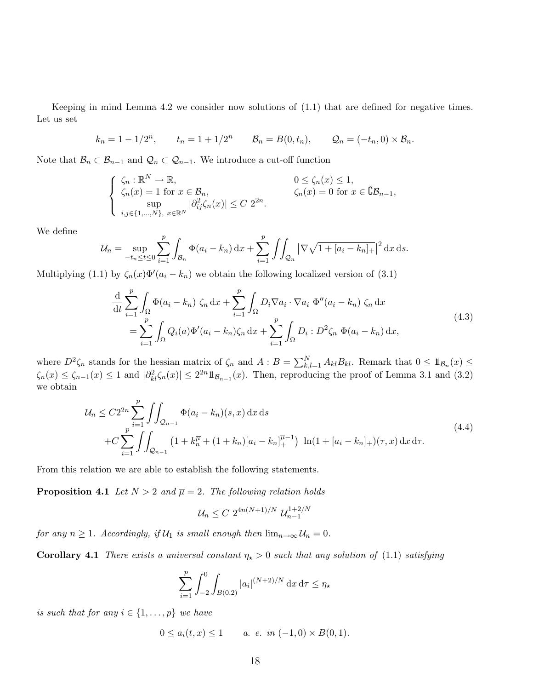Keeping in mind Lemma 4.2 we consider now solutions of (1.1) that are defined for negative times. Let us set

$$
k_n = 1 - 1/2^n
$$
,  $t_n = 1 + 1/2^n$   $B_n = B(0, t_n)$ ,  $Q_n = (-t_n, 0) \times B_n$ .

Note that  $\mathcal{B}_n \subset \mathcal{B}_{n-1}$  and  $\mathcal{Q}_n \subset \mathcal{Q}_{n-1}$ . We introduce a cut-off function

$$
\begin{cases} \n\zeta_n : \mathbb{R}^N \to \mathbb{R}, & 0 \le \zeta_n(x) \le 1, \\ \n\zeta_n(x) = 1 \text{ for } x \in \mathcal{B}_n, & \zeta_n(x) = 0 \text{ for } x \in \mathbb{C}\mathcal{B}_{n-1}, \\ \n\sup_{i,j \in \{1, \dots, N\}, \ x \in \mathbb{R}^N} |\partial_{ij}^2 \zeta_n(x)| \le C 2^{2n}.\n\end{cases}
$$

We define

$$
\mathcal{U}_n = \sup_{-t_n \le t \le 0} \sum_{i=1}^p \int_{\mathcal{B}_n} \Phi(a_i - k_n) \, \mathrm{d}x + \sum_{i=1}^p \iint_{\mathcal{Q}_n} |\nabla \sqrt{1 + [a_i - k_n]_+}|^2 \, \mathrm{d}x \, \mathrm{d}s.
$$

Multiplying (1.1) by  $\zeta_n(x)\Phi'(a_i - k_n)$  we obtain the following localized version of (3.1)

$$
\frac{\mathrm{d}}{\mathrm{d}t} \sum_{i=1}^{p} \int_{\Omega} \Phi(a_i - k_n) \zeta_n \,\mathrm{d}x + \sum_{i=1}^{p} \int_{\Omega} D_i \nabla a_i \cdot \nabla a_i \, \Phi''(a_i - k_n) \zeta_n \,\mathrm{d}x \n= \sum_{i=1}^{p} \int_{\Omega} Q_i(a) \Phi'(a_i - k_n) \zeta_n \,\mathrm{d}x + \sum_{i=1}^{p} \int_{\Omega} D_i : D^2 \zeta_n \, \Phi(a_i - k_n) \,\mathrm{d}x,
$$
\n(4.3)

where  $D^2 \zeta_n$  stands for the hessian matrix of  $\zeta_n$  and  $A : B = \sum_{k,l=1}^N A_{kl} B_{kl}$ . Remark that  $0 \leq 1\mathbb{1}_{\mathcal{B}_n}(x) \leq$  $\zeta_n(x) \leq \zeta_{n-1}(x) \leq 1$  and  $|\partial^2_{kl}\zeta_n(x)| \leq 2^{2n}1\!\!1_{\mathcal{B}_{n-1}}(x)$ . Then, reproducing the proof of Lemma 3.1 and (3.2) we obtain

$$
\mathcal{U}_n \leq C2^{2n} \sum_{i=1}^p \iint_{\mathcal{Q}_{n-1}} \Phi(a_i - k_n)(s, x) \, dx \, ds\n+ C \sum_{i=1}^p \iint_{\mathcal{Q}_{n-1}} \left( 1 + k_n^{\overline{\mu}} + (1 + k_n)[a_i - k_n]_+^{\overline{\mu}-1} \right) \ln(1 + [a_i - k_n]_+)(\tau, x) \, dx \, d\tau.
$$
\n(4.4)

From this relation we are able to establish the following statements.

**Proposition 4.1** Let  $N > 2$  and  $\overline{\mu} = 2$ . The following relation holds

$$
\mathcal{U}_n \leq C \; 2^{4n(N+1)/N} \; \mathcal{U}_{n-1}^{1+2/N}
$$

for any  $n \geq 1$ . Accordingly, if  $\mathcal{U}_1$  is small enough then  $\lim_{n\to\infty} \mathcal{U}_n = 0$ .

**Corollary 4.1** There exists a universal constant  $\eta_{\star} > 0$  such that any solution of (1.1) satisfying

$$
\sum_{i=1}^{p} \int_{-2}^{0} \int_{B(0,2)} |a_i|^{(N+2)/N} \, \mathrm{d}x \, \mathrm{d}\tau \le \eta_\star
$$

is such that for any  $i \in \{1, \ldots, p\}$  we have

$$
0 \le a_i(t, x) \le 1 \qquad a. \ e. \ in \ (-1, 0) \times B(0, 1).
$$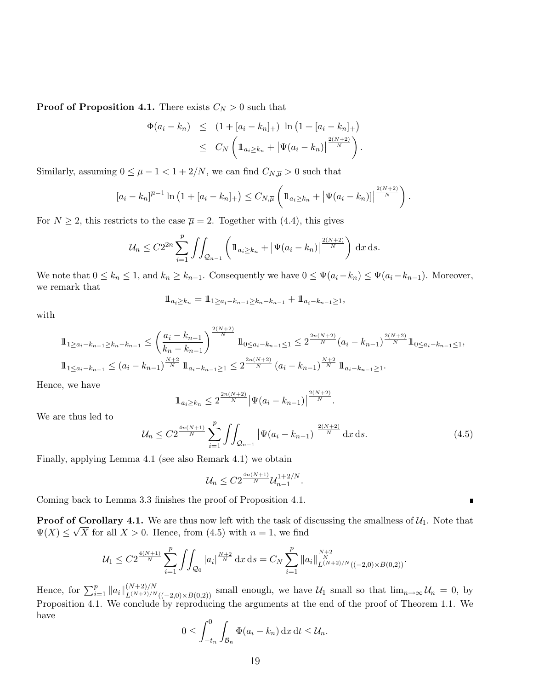**Proof of Proposition 4.1.** There exists  $C_N > 0$  such that

$$
\Phi(a_i - k_n) \leq (1 + [a_i - k_n]_+) \ln (1 + [a_i - k_n]_+)
$$
  

$$
\leq C_N \left( 1\!\!1_{a_i \geq k_n} + |\Psi(a_i - k_n)|^{\frac{2(N+2)}{N}} \right).
$$

Similarly, assuming  $0 \leq \overline{\mu} - 1 < 1 + 2/N$ , we can find  $C_{N,\overline{\mu}} > 0$  such that

$$
[a_i - k_n]^{\overline{\mu}-1} \ln (1 + [a_i - k_n]_+) \leq C_{N,\overline{\mu}} \left( 1\!\!1_{a_i \geq k_n} + |\Psi(a_i - k_n)| \Big|^{2(N+2) \over N} \right).
$$

For  $N \geq 2$ , this restricts to the case  $\overline{\mu} = 2$ . Together with (4.4), this gives

$$
\mathcal{U}_n \leq C 2^{2n} \sum_{i=1}^p \iint_{\mathcal{Q}_{n-1}} \left( 1\!\!1_{a_i \geq k_n} + |\Psi(a_i - k_n)|^{\frac{2(N+2)}{N}} \right) \, \mathrm{d}x \, \mathrm{d}s.
$$

We note that  $0 \le k_n \le 1$ , and  $k_n \ge k_{n-1}$ . Consequently we have  $0 \le \Psi(a_i - k_n) \le \Psi(a_i - k_{n-1})$ . Moreover, we remark that

$$
1\!\!1_{a_i\geq k_n} = 1\!\!1_{1\geq a_i-k_{n-1}\geq k_n-k_{n-1}} + 1\!\!1_{a_i-k_{n-1}\geq 1},
$$

with

$$
\begin{split}\n\mathbb{1}_{1 \ge a_i - k_{n-1} \ge k_n - k_{n-1}} &\le \left(\frac{a_i - k_{n-1}}{k_n - k_{n-1}}\right)^{\frac{2(N+2)}{N}} \mathbb{1}_{0 \le a_i - k_{n-1} \le 1} \le 2^{\frac{2n(N+2)}{N}} (a_i - k_{n-1})^{\frac{2(N+2)}{N}} \mathbb{1}_{0 \le a_i - k_{n-1} \le 1}, \\
\mathbb{1}_{1 \le a_i - k_{n-1}} &\le (a_i - k_{n-1})^{\frac{N+2}{N}} \mathbb{1}_{a_i - k_{n-1} \ge 1} \le 2^{\frac{2n(N+2)}{N}} (a_i - k_{n-1})^{\frac{N+2}{N}} \mathbb{1}_{a_i - k_{n-1} \ge 1}.\n\end{split}
$$

Hence, we have

$$
1\!\!1_{a_i \geq k_n} \leq 2^{\frac{2n(N+2)}{N}} \left| \Psi(a_i - k_{n-1}) \right|^{\frac{2(N+2)}{N}}.
$$

We are thus led to

$$
\mathcal{U}_n \leq C2^{\frac{4n(N+1)}{N}} \sum_{i=1}^p \iint_{\mathcal{Q}_{n-1}} \left| \Psi(a_i - k_{n-1}) \right|^{\frac{2(N+2)}{N}} dx \, ds. \tag{4.5}
$$

Finally, applying Lemma 4.1 (see also Remark 4.1) we obtain

$$
\mathcal{U}_n \leq C2^{\frac{4n(N+1)}{N}} \mathcal{U}_{n-1}^{1+2/N}.
$$

Coming back to Lemma 3.3 finishes the proof of Proposition 4.1.

**Proof of Corollary 4.1.** We are thus now left with the task of discussing the smallness of  $\mathcal{U}_1$ . Note that  $\Psi(X) \leq \sqrt{X}$  for all  $X > 0$ . Hence, from (4.5) with  $n = 1$ , we find

$$
\mathcal{U}_1 \leq C2^{\frac{4(N+1)}{N}} \sum_{i=1}^p \iint_{\mathcal{Q}_0} |a_i|^{\frac{N+2}{N}} \, \mathrm{d}x \, \mathrm{d}s = C_N \sum_{i=1}^p \|a_i\|_{L^{(N+2)/N}((-2,0) \times B(0,2))}^{\frac{N+2}{N}}.
$$

Hence, for  $\sum_{i=1}^p ||a_i||_{L^{(N+2)/N}((-2,0)\times B(0,2))}^{(N+2)/N}$  small enough, we have  $\mathcal{U}_1$  small so that  $\lim_{n\to\infty} \mathcal{U}_n = 0$ , by Proposition 4.1. We conclude by reproducing the arguments at the end of the proof of Theorem 1.1. We have

$$
0 \leq \int_{-t_n}^0 \int_{\mathcal{B}_n} \Phi(a_i - k_n) \, dx \, dt \leq \mathcal{U}_n.
$$

П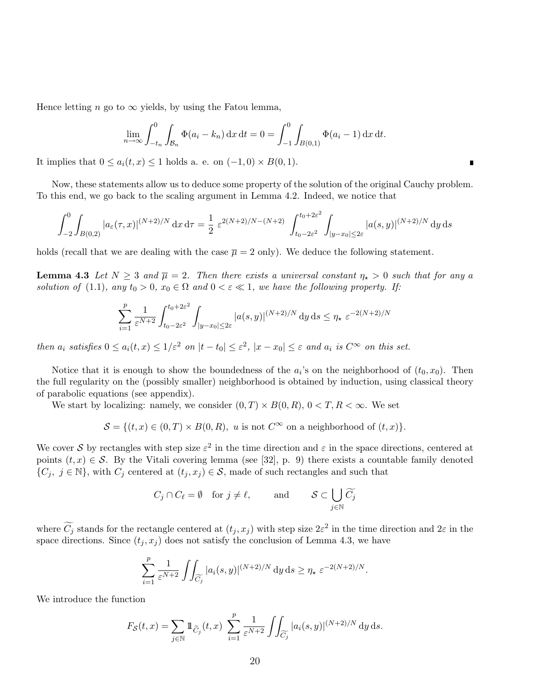Hence letting n go to  $\infty$  yields, by using the Fatou lemma,

$$
\lim_{n \to \infty} \int_{-t_n}^{0} \int_{\mathcal{B}_n} \Phi(a_i - k_n) \, dx \, dt = 0 = \int_{-1}^{0} \int_{B(0,1)} \Phi(a_i - 1) \, dx \, dt.
$$

It implies that  $0 \le a_i(t, x) \le 1$  holds a. e. on  $(-1, 0) \times B(0, 1)$ .

Now, these statements allow us to deduce some property of the solution of the original Cauchy problem. To this end, we go back to the scaling argument in Lemma 4.2. Indeed, we notice that

$$
\int_{-2}^{0} \int_{B(0,2)} |a_{\varepsilon}(\tau,x)|^{(N+2)/N} dx d\tau = \frac{1}{2} \varepsilon^{2(N+2)/N - (N+2)} \int_{t_0 - 2\varepsilon^2}^{t_0 + 2\varepsilon^2} \int_{|y - x_0| \le 2\varepsilon} |a(s,y)|^{(N+2)/N} dy ds
$$

holds (recall that we are dealing with the case  $\bar{\mu} = 2$  only). We deduce the following statement.

**Lemma 4.3** Let  $N \geq 3$  and  $\overline{\mu} = 2$ . Then there exists a universal constant  $\eta_* > 0$  such that for any a solution of (1.1), any  $t_0 > 0$ ,  $x_0 \in \Omega$  and  $0 < \varepsilon \ll 1$ , we have the following property. If:

$$
\sum_{i=1}^{p} \frac{1}{\varepsilon^{N+2}} \int_{t_0 - 2\varepsilon^2}^{t_0 + 2\varepsilon^2} \int_{|y - x_0| \le 2\varepsilon} |a(s, y)|^{(N+2)/N} dy ds \le \eta_\star \varepsilon^{-2(N+2)/N}
$$

then  $a_i$  satisfies  $0 \le a_i(t,x) \le 1/\varepsilon^2$  on  $|t-t_0| \le \varepsilon^2$ ,  $|x-x_0| \le \varepsilon$  and  $a_i$  is  $C^\infty$  on this set.

Notice that it is enough to show the boundedness of the  $a_i$ 's on the neighborhood of  $(t_0, x_0)$ . Then the full regularity on the (possibly smaller) neighborhood is obtained by induction, using classical theory of parabolic equations (see appendix).

We start by localizing: namely, we consider  $(0, T) \times B(0, R)$ ,  $0 < T, R < \infty$ . We set

$$
\mathcal{S} = \{(t, x) \in (0, T) \times B(0, R), u \text{ is not } C^{\infty} \text{ on a neighborhood of } (t, x)\}.
$$

We cover S by rectangles with step size  $\varepsilon^2$  in the time direction and  $\varepsilon$  in the space directions, centered at points  $(t, x) \in S$ . By the Vitali covering lemma (see [32], p. 9) there exists a countable family denoted  $\{C_j, j \in \mathbb{N}\}\$ , with  $C_j$  centered at  $(t_j, x_j) \in \mathcal{S}$ , made of such rectangles and such that

$$
C_j \cap C_\ell = \emptyset \quad \text{for } j \neq \ell, \qquad \text{and} \qquad \mathcal{S} \subset \bigcup_{j \in \mathbb{N}} \widetilde{C_j}
$$

where  $\widetilde{C}_j$  stands for the rectangle centered at  $(t_j, x_j)$  with step size  $2\varepsilon^2$  in the time direction and  $2\varepsilon$  in the space directions. Since  $(t_j, x_j)$  does not satisfy the conclusion of Lemma 4.3, we have

$$
\sum_{i=1}^p \frac{1}{\varepsilon^{N+2}} \iint_{\widetilde{C}_j} |a_i(s,y)|^{(N+2)/N} dy ds \ge \eta_\star \varepsilon^{-2(N+2)/N}.
$$

We introduce the function

$$
F_{\mathcal{S}}(t,x) = \sum_{j \in \mathbb{N}} \mathbb{1}_{\widetilde{C}_j}(t,x) \sum_{i=1}^p \frac{1}{\varepsilon^{N+2}} \iint_{\widetilde{C}_j} |a_i(s,y)|^{(N+2)/N} dy ds.
$$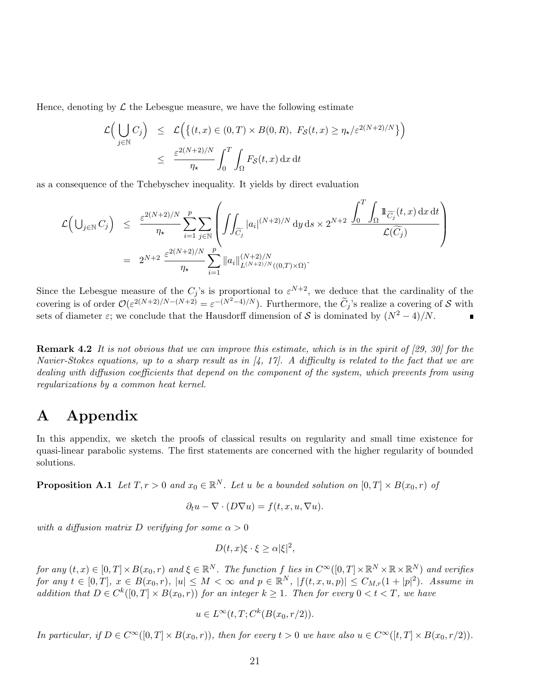Hence, denoting by  $\mathcal L$  the Lebesgue measure, we have the following estimate

$$
\mathcal{L}\Big(\bigcup_{j\in\mathbb{N}} C_j\Big) \leq \mathcal{L}\Big(\big\{(t,x)\in(0,T)\times B(0,R),\ F_{\mathcal{S}}(t,x)\geq \eta_\star/\varepsilon^{2(N+2)/N}\big\}\Big)
$$
  

$$
\leq \frac{\varepsilon^{2(N+2)/N}}{\eta_\star} \int_0^T \int_{\Omega} F_{\mathcal{S}}(t,x) dx dt
$$

as a consequence of the Tchebyschev inequality. It yields by direct evaluation

$$
\mathcal{L}\Big(\bigcup_{j\in\mathbb{N}}C_j\Big) \leq \frac{\varepsilon^{2(N+2)/N}}{\eta_\star}\sum_{i=1}^p\sum_{j\in\mathbb{N}}\left(\iint_{\widetilde{C}_j}|a_i|^{(N+2)/N}\,\mathrm{d}y\,\mathrm{d}s\times 2^{N+2}\,\frac{\int_0^T\int_\Omega1\!\!\!\!\!\!\mathrm{1}_{\widetilde{C}_j}(t,x)\,\mathrm{d}x\,\mathrm{d}t}{\mathcal{L}(\widetilde{C}_j)}\right)\\ = 2^{N+2}\,\frac{\varepsilon^{2(N+2)/N}}{\eta_\star}\sum_{i=1}^p\|a_i\|_{L^{(N+2)/N}((0,T)\times\Omega)}^{(N+2)/N}.
$$

Since the Lebesgue measure of the  $C_j$ 's is proportional to  $\varepsilon^{N+2}$ , we deduce that the cardinality of the covering is of order  $\mathcal{O}(\varepsilon^{2(N+2)/N-(N+2)} = \varepsilon^{-(N^2-4)/N})$ . Furthermore, the  $\widetilde{C}_j$ 's realize a covering of S with sets of diameter  $\varepsilon$ ; we conclude that the Hausdorff dimension of S is dominated by  $(N^2-4)/N$ .

**Remark 4.2** It is not obvious that we can improve this estimate, which is in the spirit of  $[29, 30]$  for the Navier-Stokes equations, up to a sharp result as in  $\mathcal{A}$ , 17. A difficulty is related to the fact that we are dealing with diffusion coefficients that depend on the component of the system, which prevents from using regularizations by a common heat kernel.

### A Appendix

In this appendix, we sketch the proofs of classical results on regularity and small time existence for quasi-linear parabolic systems. The first statements are concerned with the higher regularity of bounded solutions.

**Proposition A.1** Let  $T, r > 0$  and  $x_0 \in \mathbb{R}^N$ . Let u be a bounded solution on  $[0, T] \times B(x_0, r)$  of

$$
\partial_t u - \nabla \cdot (D \nabla u) = f(t, x, u, \nabla u).
$$

with a diffusion matrix D verifying for some  $\alpha > 0$ 

$$
D(t, x)\xi \cdot \xi \ge \alpha |\xi|^2,
$$

for any  $(t, x) \in [0, T] \times B(x_0, r)$  and  $\xi \in \mathbb{R}^N$ . The function f lies in  $C^{\infty}([0, T] \times \mathbb{R}^N \times \mathbb{R} \times \mathbb{R}^N)$  and verifies for any  $t \in [0,T], x \in B(x_0,r), |u| \leq M < \infty$  and  $p \in \mathbb{R}^N$ ,  $|f(t,x,u,p)| \leq C_{M,r}(1+|p|^2)$ . Assume in addition that  $D \in C^{k}([0, T] \times B(x_0, r))$  for an integer  $k \geq 1$ . Then for every  $0 < t < T$ , we have

$$
u \in L^{\infty}(t, T; C^{k}(B(x_0, r/2)).
$$

In particular, if  $D \in C^{\infty}([0, T] \times B(x_0, r))$ , then for every  $t > 0$  we have also  $u \in C^{\infty}([t, T] \times B(x_0, r/2))$ .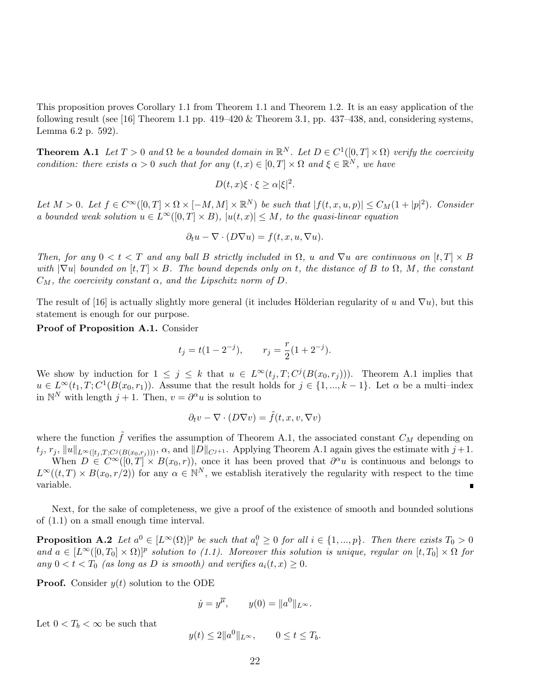This proposition proves Corollary 1.1 from Theorem 1.1 and Theorem 1.2. It is an easy application of the following result (see [16] Theorem 1.1 pp.  $419-420 \&$  Theorem 3.1, pp.  $437-438$ , and, considering systems, Lemma 6.2 p. 592).

**Theorem A.1** Let  $T > 0$  and  $\Omega$  be a bounded domain in  $\mathbb{R}^N$ . Let  $D \in C^1([0, T] \times \Omega)$  verify the coercivity condition: there exists  $\alpha > 0$  such that for any  $(t, x) \in [0, T] \times \Omega$  and  $\xi \in \mathbb{R}^N$ , we have

$$
D(t, x)\xi \cdot \xi \ge \alpha |\xi|^2.
$$

Let  $M > 0$ . Let  $f \in C^{\infty}([0,T] \times \Omega \times [-M,M] \times \mathbb{R}^N)$  be such that  $|f(t,x,u,p)| \leq C_M(1+|p|^2)$ . Consider a bounded weak solution  $u \in L^{\infty}([0,T] \times B)$ ,  $|u(t,x)| \leq M$ , to the quasi-linear equation

$$
\partial_t u - \nabla \cdot (D \nabla u) = f(t, x, u, \nabla u).
$$

Then, for any  $0 < t < T$  and any ball B strictly included in  $\Omega$ , u and  $\nabla u$  are continuous on  $[t, T] \times B$ with  $|\nabla u|$  bounded on  $[t, T] \times B$ . The bound depends only on t, the distance of B to  $\Omega$ , M, the constant  $C_M$ , the coercivity constant  $\alpha$ , and the Lipschitz norm of D.

The result of [16] is actually slightly more general (it includes Hölderian regularity of u and  $\nabla u$ ), but this statement is enough for our purpose.

Proof of Proposition A.1. Consider

$$
t_j = t(1 - 2^{-j}),
$$
  $r_j = \frac{r}{2}(1 + 2^{-j}).$ 

We show by induction for  $1 \leq j \leq k$  that  $u \in L^{\infty}(t_j, T; C^{j}(B(x_0, r_j)))$ . Theorem A.1 implies that  $u \in L^{\infty}(t_1,T;C^1(B(x_0,r_1))$ . Assume that the result holds for  $j \in \{1,...,k-1\}$ . Let  $\alpha$  be a multi-index in  $\mathbb{N}^N$  with length  $j+1$ . Then,  $v = \partial^\alpha u$  is solution to

$$
\partial_t v - \nabla \cdot (D \nabla v) = \tilde{f}(t, x, v, \nabla v)
$$

where the function  $\tilde{f}$  verifies the assumption of Theorem A.1, the associated constant  $C_M$  depending on  $t_j, r_j, ||u||_{L^{\infty}([t_i, T; C^j(B(x_0, r_i)))}, \alpha, \text{ and } ||D||_{C^{j+1}}.$  Applying Theorem A.1 again gives the estimate with  $j+1$ . When  $D \in C^{\infty}([0,T] \times B(x_0,r))$ , once it has been proved that  $\partial^{\alpha} u$  is continuous and belongs to

 $L^{\infty}((t,T) \times B(x_0, r/2))$  for any  $\alpha \in \mathbb{N}^N$ , we establish iteratively the regularity with respect to the time variable.

Next, for the sake of completeness, we give a proof of the existence of smooth and bounded solutions of (1.1) on a small enough time interval.

**Proposition A.2** Let  $a^0 \in [L^{\infty}(\Omega)]^p$  be such that  $a_i^0 \geq 0$  for all  $i \in \{1, ..., p\}$ . Then there exists  $T_0 > 0$ and  $a \in [L^{\infty}([0,T_0] \times \Omega)]^p$  solution to (1.1). Moreover this solution is unique, regular on  $[t,T_0] \times \Omega$  for any  $0 < t < T_0$  (as long as D is smooth) and verifies  $a_i(t,x) \geq 0$ .

**Proof.** Consider  $y(t)$  solution to the ODE

$$
\dot{y} = y^{\overline{\mu}}, \qquad y(0) = ||a^0||_{L^{\infty}}.
$$

Let  $0 < T_b < \infty$  be such that

$$
y(t) \le 2||a^0||_{L^{\infty}}, \qquad 0 \le t \le T_b.
$$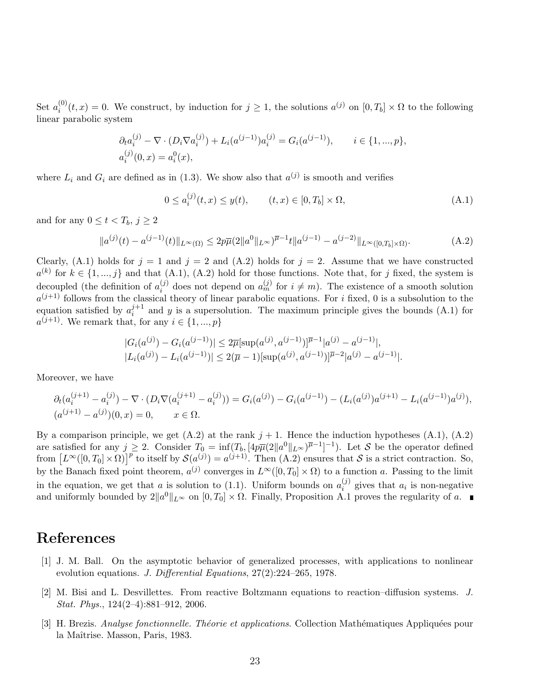Set  $a_i^{(0)}$  $i_0^{(0)}(t,x) = 0$ . We construct, by induction for  $j \ge 1$ , the solutions  $a^{(j)}$  on  $[0,T_b] \times \Omega$  to the following linear parabolic system

$$
\partial_t a_i^{(j)} - \nabla \cdot (D_i \nabla a_i^{(j)}) + L_i(a^{(j-1)}) a_i^{(j)} = G_i(a^{(j-1)}), \qquad i \in \{1, ..., p\},
$$
  

$$
a_i^{(j)}(0, x) = a_i^0(x),
$$

where  $L_i$  and  $G_i$  are defined as in (1.3). We show also that  $a^{(j)}$  is smooth and verifies

$$
0 \le a_i^{(j)}(t, x) \le y(t), \qquad (t, x) \in [0, T_b] \times \Omega,
$$
\n(A.1)

and for any  $0 \leq t < T_b$ ,  $j \geq 2$ 

$$
||a^{(j)}(t) - a^{(j-1)}(t)||_{L^{\infty}(\Omega)} \le 2p\overline{\mu}(2||a^0||_{L^{\infty}})^{\overline{\mu}-1}||a^{(j-1)} - a^{(j-2)}||_{L^{\infty}([0,T_b]\times\Omega)}.
$$
 (A.2)

Clearly, (A.1) holds for  $j = 1$  and  $j = 2$  and (A.2) holds for  $j = 2$ . Assume that we have constructed  $a^{(k)}$  for  $k \in \{1, ..., j\}$  and that  $(A.1), (A.2)$  hold for those functions. Note that, for j fixed, the system is decoupled (the definition of  $a_i^{(j)}$ )  $i_j^{(j)}$  does not depend on  $a_m^{(j)}$  for  $i \neq m$ ). The existence of a smooth solution  $a^{(j+1)}$  follows from the classical theory of linear parabolic equations. For i fixed, 0 is a subsolution to the equation satisfied by  $a_i^{j+1}$  $i^{j+1}$  and y is a supersolution. The maximum principle gives the bounds (A.1) for  $a^{(j+1)}$ . We remark that, for any  $i \in \{1, ..., p\}$ 

$$
|G_i(a^{(j)}) - G_i(a^{(j-1)})| \le 2\overline{\mu}[\sup(a^{(j)}, a^{(j-1)})]^{\overline{\mu}-1}|a^{(j)} - a^{(j-1)}|,
$$
  

$$
|L_i(a^{(j)}) - L_i(a^{(j-1)})| \le 2(\overline{\mu}-1)[\sup(a^{(j)}, a^{(j-1)})]^{\overline{\mu}-2}|a^{(j)} - a^{(j-1)}|.
$$

Moreover, we have

$$
\partial_t (a_i^{(j+1)} - a_i^{(j)}) - \nabla \cdot (D_i \nabla (a_i^{(j+1)} - a_i^{(j)})) = G_i(a^{(j)}) - G_i(a^{(j-1)}) - (L_i(a^{(j)})a^{(j+1)} - L_i(a^{(j-1)})a^{(j)}),
$$
  

$$
(a^{(j+1)} - a^{(j)})(0, x) = 0, \qquad x \in \Omega.
$$

By a comparison principle, we get  $(A.2)$  at the rank  $j + 1$ . Hence the induction hypotheses  $(A.1)$ ,  $(A.2)$ are satisfied for any  $j \geq 2$ . Consider  $T_0 = \inf(T_b, [4p\overline{\mu}(2\|a^0\|_{L^\infty})^{\overline{\mu}-1}]^{-1})$ . Let S be the operator defined from  $[L^{\infty}([0,T_0]\times\Omega)]^p$  to itself by  $\mathcal{S}(a^{(j)})=a^{(j+1)}$ . Then  $(A.2)$  ensures that S is a strict contraction. So, by the Banach fixed point theorem,  $a^{(j)}$  converges in  $L^{\infty}([0,T_0] \times \Omega)$  to a function a. Passing to the limit in the equation, we get that a is solution to (1.1). Uniform bounds on  $a_i^{(j)}$  $i^{(j)}$  gives that  $a_i$  is non-negative and uniformly bounded by  $2||a^0||_{L^{\infty}}$  on  $[0, T_0] \times \Omega$ . Finally, Proposition A.1 proves the regularity of a.

### References

- [1] J. M. Ball. On the asymptotic behavior of generalized processes, with applications to nonlinear evolution equations. J. Differential Equations, 27(2):224–265, 1978.
- [2] M. Bisi and L. Desvillettes. From reactive Boltzmann equations to reaction–diffusion systems. J. Stat. Phys., 124(2–4):881–912, 2006.
- [3] H. Brezis. Analyse fonctionnelle. Théorie et applications. Collection Mathématiques Appliquées pour la Maîtrise. Masson, Paris, 1983.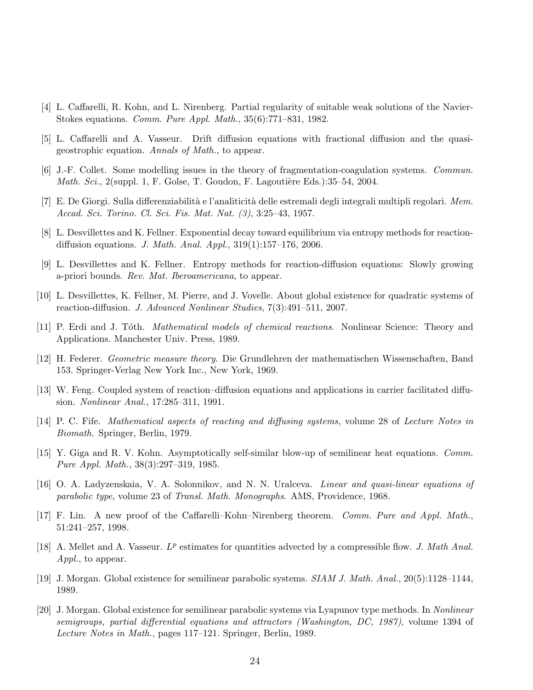- [4] L. Caffarelli, R. Kohn, and L. Nirenberg. Partial regularity of suitable weak solutions of the Navier-Stokes equations. Comm. Pure Appl. Math., 35(6):771–831, 1982.
- [5] L. Caffarelli and A. Vasseur. Drift diffusion equations with fractional diffusion and the quasigeostrophic equation. Annals of Math., to appear.
- [6] J.-F. Collet. Some modelling issues in the theory of fragmentation-coagulation systems. Commun. Math. Sci., 2(suppl. 1, F. Golse, T. Goudon, F. Lagoutière Eds.):35–54, 2004.
- [7] E. De Giorgi. Sulla differenziabilità e l'analiticità delle estremali degli integrali multipli regolari. Mem. Accad. Sci. Torino. Cl. Sci. Fis. Mat. Nat. (3), 3:25–43, 1957.
- [8] L. Desvillettes and K. Fellner. Exponential decay toward equilibrium via entropy methods for reactiondiffusion equations. J. Math. Anal. Appl., 319(1):157–176, 2006.
- [9] L. Desvillettes and K. Fellner. Entropy methods for reaction-diffusion equations: Slowly growing a-priori bounds. Rev. Mat. Iberoamericana, to appear.
- [10] L. Desvillettes, K. Fellner, M. Pierre, and J. Vovelle. About global existence for quadratic systems of reaction-diffusion. J. Advanced Nonlinear Studies, 7(3):491–511, 2007.
- [11] P. Erdi and J. Toth. *Mathematical models of chemical reactions*. Nonlinear Science: Theory and Applications. Manchester Univ. Press, 1989.
- [12] H. Federer. Geometric measure theory. Die Grundlehren der mathematischen Wissenschaften, Band 153. Springer-Verlag New York Inc., New York, 1969.
- [13] W. Feng. Coupled system of reaction–diffusion equations and applications in carrier facilitated diffusion. Nonlinear Anal., 17:285–311, 1991.
- [14] P. C. Fife. Mathematical aspects of reacting and diffusing systems, volume 28 of Lecture Notes in Biomath. Springer, Berlin, 1979.
- [15] Y. Giga and R. V. Kohn. Asymptotically self-similar blow-up of semilinear heat equations. Comm. Pure Appl. Math., 38(3):297–319, 1985.
- [16] O. A. Ladyzenskaia, V. A. Solonnikov, and N. N. Uralceva. Linear and quasi-linear equations of parabolic type, volume 23 of Transl. Math. Monographs. AMS, Providence, 1968.
- [17] F. Lin. A new proof of the Caffarelli–Kohn–Nirenberg theorem. Comm. Pure and Appl. Math., 51:241–257, 1998.
- [18] A. Mellet and A. Vasseur.  $L^p$  estimates for quantities advected by a compressible flow. J. Math Anal. Appl., to appear.
- [19] J. Morgan. Global existence for semilinear parabolic systems. SIAM J. Math. Anal., 20(5):1128–1144, 1989.
- [20] J. Morgan. Global existence for semilinear parabolic systems via Lyapunov type methods. In Nonlinear semigroups, partial differential equations and attractors (Washington, DC, 1987), volume 1394 of Lecture Notes in Math., pages 117–121. Springer, Berlin, 1989.